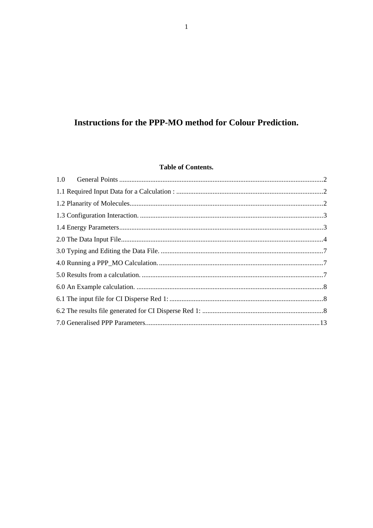# **Instructions for the PPP-MO method for Colour Prediction.**

## **Table of Contents.**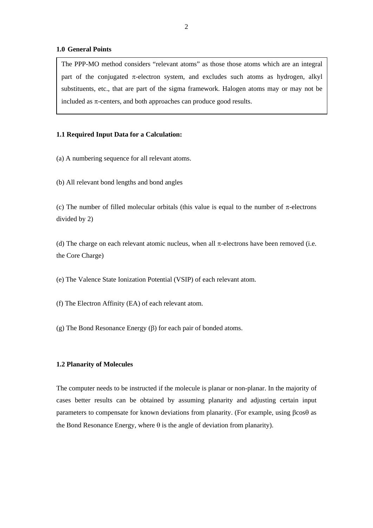#### <span id="page-1-0"></span>**1.0 General Points**

The PPP-MO method considers "relevant atoms" as those those atoms which are an integral part of the conjugated  $\pi$ -electron system, and excludes such atoms as hydrogen, alkyl substituents, etc., that are part of the sigma framework. Halogen atoms may or may not be included as  $\pi$ -centers, and both approaches can produce good results.

#### **1.1 Required Input Data for a Calculation:**

- (a) A numbering sequence for all relevant atoms.
- (b) All relevant bond lengths and bond angles

(c) The number of filled molecular orbitals (this value is equal to the number of  $\pi$ -electrons divided by 2)

(d) The charge on each relevant atomic nucleus, when all  $\pi$ -electrons have been removed (i.e. the Core Charge)

(e) The Valence State Ionization Potential (VSIP) of each relevant atom.

- (f) The Electron Affinity (EA) of each relevant atom.
- (g) The Bond Resonance Energy (β) for each pair of bonded atoms.

#### **1.2 Planarity of Molecules**

The computer needs to be instructed if the molecule is planar or non-planar. In the majority of cases better results can be obtained by assuming planarity and adjusting certain input parameters to compensate for known deviations from planarity. (For example, using βcosθ as the Bond Resonance Energy, where  $\theta$  is the angle of deviation from planarity).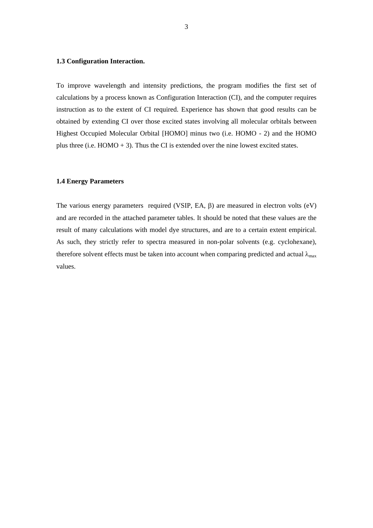#### <span id="page-2-0"></span>**1.3 Configuration Interaction.**

To improve wavelength and intensity predictions, the program modifies the first set of calculations by a process known as Configuration Interaction (CI), and the computer requires instruction as to the extent of CI required. Experience has shown that good results can be obtained by extending CI over those excited states involving all molecular orbitals between Highest Occupied Molecular Orbital [HOMO] minus two (i.e. HOMO - 2) and the HOMO plus three (i.e.  $HOMO + 3$ ). Thus the CI is extended over the nine lowest excited states.

#### **1.4 Energy Parameters**

The various energy parameters required (VSIP, EA, β) are measured in electron volts (eV) and are recorded in the attached parameter tables. It should be noted that these values are the result of many calculations with model dye structures, and are to a certain extent empirical. As such, they strictly refer to spectra measured in non-polar solvents (e.g. cyclohexane), therefore solvent effects must be taken into account when comparing predicted and actual  $\lambda_{\text{max}}$ values.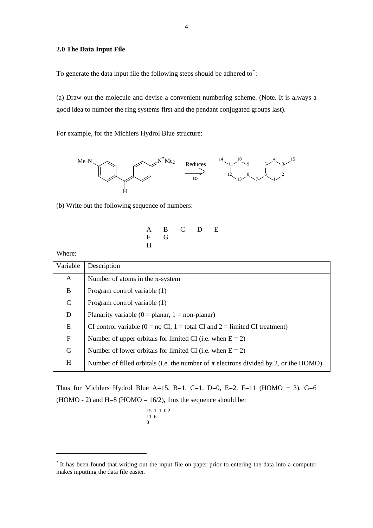### <span id="page-3-0"></span>**2.0 The Data Input File**

To generate the data input file the following steps should be adhered to $\dot{\ }$ :

(a) Draw out the molecule and devise a convenient numbering scheme. (Note. It is always a good idea to number the ring systems first and the pendant conjugated groups last).

For example, for the Michlers Hydrol Blue structure:



(b) Write out the following sequence of numbers:

$$
\begin{array}{cccc}\nA & B & C & D & E \\
F & G & & & \\
H & & & & \n\end{array}
$$

Where:

1

| Variable    | Description                                                                                              |
|-------------|----------------------------------------------------------------------------------------------------------|
| A           | Number of atoms in the $\pi$ -system                                                                     |
| B           | Program control variable (1)                                                                             |
| $\mathbf C$ | Program control variable (1)                                                                             |
| D           | Planarity variable ( $0 =$ planar, $1 =$ non-planar)                                                     |
| E           | CI control variable ( $0 = no \text{ CI}$ , $1 = \text{total CI}$ and $2 = \text{limited CI}$ treatment) |
| $\mathbf F$ | Number of upper orbitals for limited CI (i.e. when $E = 2$ )                                             |
| G           | Number of lower orbitals for limited CI (i.e. when $E = 2$ )                                             |
| H           | Number of filled orbitals (i.e. the number of $\pi$ electrons divided by 2, or the HOMO)                 |

Thus for Michlers Hydrol Blue A=15, B=1, C=1, D=0, E=2, F=11 (HOMO + 3), G=6 (HOMO - 2) and H=8 (HOMO =  $16/2$ ), thus the sequence should be:

$$
\begin{array}{c c c c c c}15&1&1&0&2\\11&6&&&&\\8&&&&&\end{array}
$$

<span id="page-3-1"></span><sup>\*</sup> It has been found that writing out the input file on paper prior to entering the data into a computer makes inputting the data file easier.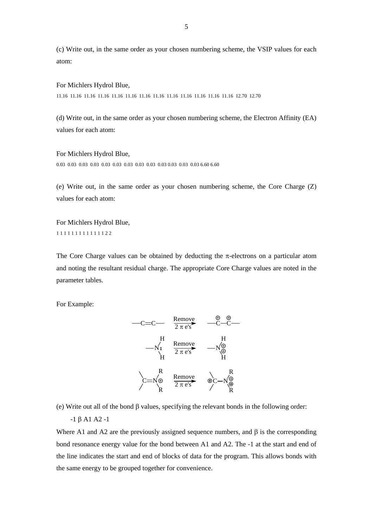(c) Write out, in the same order as your chosen numbering scheme, the VSIP values for each atom:

#### For Michlers Hydrol Blue,

11.16 11.16 11.16 11.16 11.16 11.16 11.16 11.16 11.16 11.16 11.16 11.16 11.16 12.70 12.70

(d) Write out, in the same order as your chosen numbering scheme, the Electron Affinity (EA) values for each atom:

#### For Michlers Hydrol Blue,

0.03 0.03 0.03 0.03 0.03 0.03 0.03 0.03 0.03 0.03 0.03 0.03 0.03 6.60 6.60

(e) Write out, in the same order as your chosen numbering scheme, the Core Charge (Z) values for each atom:

For Michlers Hydrol Blue, 1 1 1 1 1 1 1 1 1 1 1 1 1 2 2

The Core Charge values can be obtained by deducting the  $\pi$ -electrons on a particular atom and noting the resultant residual charge. The appropriate Core Charge values are noted in the parameter tables.

For Example:



(e) Write out all of the bond β values, specifying the relevant bonds in the following order:

-1 β A1 A2 -1

Where A1 and A2 are the previously assigned sequence numbers, and  $\beta$  is the corresponding bond resonance energy value for the bond between A1 and A2. The -1 at the start and end of the line indicates the start and end of blocks of data for the program. This allows bonds with the same energy to be grouped together for convenience.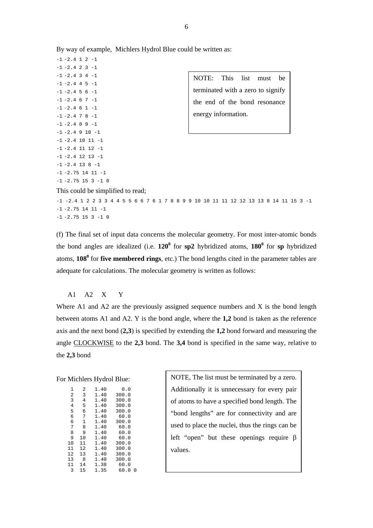$-1$   $-2.4$  1 2  $-1$  $-1$   $-2.4$  2 3  $-1$  $-1$   $-2.4$  4 5  $-1$  $-1$   $-2.4$  5 6  $-1$  $-1$   $-2.4$  6 7  $-1$  $-1$   $-2.4$  6 1  $-1$  $-1$   $-2.4$  7 8  $-1$  $-1$   $-2.4$  8 9  $-1$  $-1$   $-2.4$  9 10  $-1$  $-1$   $-2.4$  10 11  $-1$  $-1$   $-2.4$  11 12  $-1$  $-1$   $-2.4$  12 13  $-1$  $-1$   $-2.4$  13 8  $-1$  $-1$   $-2.75$  14 11  $-1$  $-1$   $-2.75$  15 3  $-1$  0

 $-1$   $-2.4$  3 4  $-1$  NOTE: This list must be terminated with a zero to signify the end of the bond resonance energy information.

This could be simplified to read;

-1 -2.4 1 2 2 3 3 4 4 5 5 6 6 7 6 1 7 8 8 9 9 10 10 11 11 12 12 13 13 8 14 11 15 3 -1  $-1$   $-2.75$  14 11  $-1$  $-1$   $-2.75$  15 3  $-1$  0

(f) The final set of input data concerns the molecular geometry. For most inter-atomic bonds the bond angles are idealized (i.e.  $120^{\circ}$  for  $sp2$  hybridized atoms,  $180^{\circ}$  for  $sp$  hybridized atoms, **108<sup>0</sup>** for **five membered rings**, etc.) The bond lengths cited in the parameter tables are adequate for calculations. The molecular geometry is written as follows:

A1 A2 X Y

Where A1 and A2 are the previously assigned sequence numbers and X is the bond length between atoms A1 and A2. Y is the bond angle, where the **1,2** bond is taken as the reference axis and the next bond (**2,3**) is specified by extending the **1,2** bond forward and measuring the angle CLOCKWISE to the **2,3** bond. The **3,4** bond is specified in the same way, relative to the **2,3** bond

#### For Michlers Hydrol Blue:

| 1  | 2  | 1.40 | 0.0       |
|----|----|------|-----------|
| 2  | 3  | 1.40 | 300.0     |
| 3  | 4  | 1.40 | 300.0     |
| 4  | 5  | 1.40 | 300.0     |
| 5  | 6  | 1.40 | 300.0     |
| 6  | 7  | 1.40 | 60.0      |
| 6  | 1  | 1.40 | 300.0     |
| 7  | 8  | 1.40 | 60.0      |
| 8  | 9  | 1.40 | 60.0      |
| 9  | 10 | 1.40 | 60.0      |
| 10 | 11 | 1.40 | 300.0     |
| 11 | 12 | 1.40 | 300.0     |
| 12 | 13 | 1.40 | 300.0     |
| 13 | 8  | 1.40 | 300.0     |
| 11 | 14 | 1.38 | 60.0      |
| 3  | 15 | 1.35 | 60.0<br>0 |

NOTE, The list must be terminated by a zero. Additionally it is unnecessary for every pair of atoms to have a specified bond length. The "bond lengths" are for connectivity and are used to place the nuclei, thus the rings can be left "open" but these openings require β values.

6

By way of example, Michlers Hydrol Blue could be written as: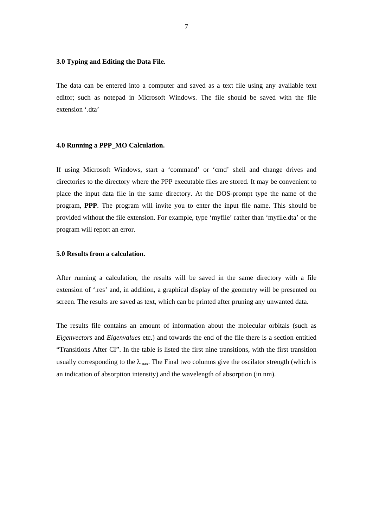### <span id="page-6-0"></span>**3.0 Typing and Editing the Data File.**

The data can be entered into a computer and saved as a text file using any available text editor; such as notepad in Microsoft Windows. The file should be saved with the file extension '.dta'

#### **4.0 Running a PPP\_MO Calculation.**

If using Microsoft Windows, start a 'command' or 'cmd' shell and change drives and directories to the directory where the PPP executable files are stored. It may be convenient to place the input data file in the same directory. At the DOS-prompt type the name of the program, **PPP**. The program will invite you to enter the input file name. This should be provided without the file extension. For example, type 'myfile' rather than 'myfile.dta' or the program will report an error.

#### **5.0 Results from a calculation.**

After running a calculation, the results will be saved in the same directory with a file extension of '.res' and, in addition, a graphical display of the geometry will be presented on screen. The results are saved as text, which can be printed after pruning any unwanted data.

The results file contains an amount of information about the molecular orbitals (such as *Eigenvectors* and *Eigenvalues* etc.) and towards the end of the file there is a section entitled "Transitions After CI". In the table is listed the first nine transitions, with the first transition usually corresponding to the  $\lambda_{\text{max}}$ . The Final two columns give the oscilator strength (which is an indication of absorption intensity) and the wavelength of absorption (in nm).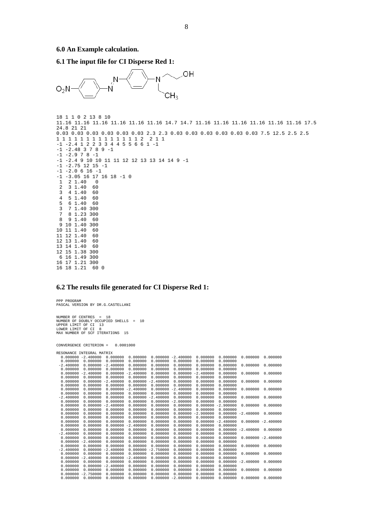<span id="page-7-0"></span>**6.1 The input file for CI Disperse Red 1:** 



```
18 1 1 0 2 13 8 10 
11.16 11.16 11.16 11.16 11.16 11.16 14.7 14.7 11.16 11.16 11.16 11.16 11.16 11.16 17.5 
24.8 21 21 
0.03 0.03 0.03 0.03 0.03 0.03 2.3 2.3 0.03 0.03 0.03 0.03 0.03 0.03 7.5 12.5 2.5 2.5 
1 1 1 1 1 1 1 1 1 1 1 1 1 1 2 2 1 1 
-1 -2.4 1 2 2 3 3 4 4 5 5 6 6 1 -1 
-1 -2.48 3 7 8 9 -1 
-1 -2.9 7 8 -1 
-1 -2.4 9 10 10 11 11 12 12 13 13 14 14 9 -1 
-1 -2.75 12 15 -1 
-1 -2.0 6 16 -1-1 -3.05 16 17 16 18 -1 0 
 1 2 1.40 0 
 2 3 1.40 60 
 3 4 1.40 60 
 4 5 1.40 60 
 5 6 1.40 60 
  3 7 1.40 300 
 7 8 1.23 300 
   9 1.40
 9 10 1.40 300 
10 11 1.40 60 
11 12 1.40 60 
12 13 1.40 60 
13 14 1.40
12 15 1.38 300 
 6 16 1.49 300
```
#### 16 17 1.21 300 16 18 1.21 60 0

#### **6.2 The results file generated for CI Disperse Red 1:**

PPP PROGRAM PASCAL VERSION BY DR.G.CASTELLANI NUMBER OF CENTRES = 18 NUMBER OF DOUBLY OCCUPIED SHELLS = 10 UPPER LIMIT OF CI 13 LOWER LIMIT OF CI 8 MAX NUMBER OF SCF ITERATIONS 15

CONVERGENCE CRITERION = 0.0001000

| RESONANCE INTEGRAL MATRIX |             |                       |                       |             |             |             |             |                       |                       |
|---------------------------|-------------|-----------------------|-----------------------|-------------|-------------|-------------|-------------|-----------------------|-----------------------|
| $0.000000 - 2.400000$     |             | 0.000000              | 0.000000              | 0.000000    | $-2.400000$ | 0.000000    | 0.000000    | 0.000000              | 0.000000              |
| 0.000000                  | 0.000000    | 0.000000              | 0.000000              | 0.000000    | 0.000000    | 0.000000    | 0.000000    |                       |                       |
| $-2.400000$               | 0.000000    | $-2.400000$           | 0.000000              | 0.000000    | 0.000000    | 0.000000    | 0.000000    | 0.000000              | 0.000000              |
| 0.000000                  | 0.000000    | 0.000000              | 0.000000              | 0.000000    | 0.000000    | 0.000000    | 0.000000    |                       |                       |
| 0.000000                  | $-2.400000$ | 0.000000              | $-2.400000$           | 0.000000    | 0.000000    | $-2.480000$ | 0.000000    | 0.000000              | 0.000000              |
| 0.000000                  | 0.000000    | 0.000000              | 0.000000              | 0.000000    | 0.000000    | 0.000000    | 0.000000    |                       |                       |
| 0.000000                  | 0.000000    | $-2.400000$           | 0.000000              | $-2.400000$ | 0.000000    | 0.000000    | 0.000000    | 0.000000              | 0.000000              |
| 0.000000                  | 0.000000    | 0.000000              | 0.000000              | 0.000000    | 0.000000    | 0.000000    | 0.000000    |                       |                       |
| 0.000000                  | 0.000000    |                       | $0.000000 - 2.400000$ | 0.000000    | $-2.400000$ | 0.000000    | 0.000000    | 0.000000              | 0.000000              |
| 0.000000                  | 0.000000    | 0.000000              | 0.000000              | 0.000000    | 0.000000    | 0.000000    | 0.000000    |                       |                       |
| $-2.400000$               | 0.000000    | 0.000000              | 0.000000              | $-2.400000$ | 0.000000    | 0.000000    | 0.000000    | 0.000000              | 0.000000              |
| 0.000000                  | 0.000000    | 0.000000              | 0.000000              | 0.000000    | $-2.000000$ | 0.000000    | 0.000000    |                       |                       |
| 0.000000                  | 0.000000    | $-2.480000$           | 0.000000              | 0.000000    | 0.000000    | 0.000000    | $-2.900000$ | 0.000000              | 0.000000              |
| 0.000000                  | 0.000000    | 0.000000              | 0.000000              | 0.000000    | 0.000000    | 0.000000    | 0.000000    |                       |                       |
| 0.000000                  | 0.000000    | 0.000000              | 0.000000              | 0.000000    | 0.000000    | $-2.900000$ |             | $0.000000 - 2.480000$ | 0.000000              |
| 0.000000                  | 0.000000    | 0.000000              | 0.000000              | 0.000000    | 0.000000    | 0.000000    | 0.000000    |                       |                       |
| 0.000000                  | 0.000000    | 0.000000              | 0.000000              | 0.000000    | 0.000000    | 0.000000    | $-2.480000$ |                       | $0.000000 - 2.400000$ |
| 0.000000                  | 0.000000    | 0.000000              | $-2.400000$           | 0.000000    | 0.000000    | 0.000000    | 0.000000    |                       |                       |
| 0.000000                  | 0.000000    | 0.000000              | 0.000000              | 0.000000    | 0.000000    | 0.000000    |             | $0.000000 - 2.400000$ | 0.000000              |
| $-2.400000$               | 0.000000    | 0.000000              | 0.000000              | 0.000000    | 0.000000    | 0.000000    | 0.000000    |                       |                       |
| 0.000000                  | 0.000000    | 0.000000              | 0.000000              | 0.000000    | 0.000000    | 0.000000    | 0.000000    |                       | $0.000000 - 2.400000$ |
| 0.000000                  | $-2.400000$ | 0.000000              | 0.000000              | 0.000000    | 0.000000    | 0.000000    | 0.000000    |                       |                       |
| 0.000000                  | 0.000000    | 0.000000              | 0.000000              | 0.000000    | 0.000000    | 0.000000    | 0.000000    | 0.000000              | 0.000000              |
| $-2.400000$               |             | $0.000000 - 2.400000$ | 0.000000              | $-2.750000$ | 0.000000    | 0.000000    | 0.000000    |                       |                       |
| 0.000000                  | 0.000000    | 0.000000              | 0.000000              | 0.000000    | 0.000000    | 0.000000    | 0.000000    | 0.000000              | 0.000000              |
| 0.000000                  | $-2.400000$ | 0.000000              | $-2.400000$           | 0.000000    | 0.000000    | 0.000000    | 0.000000    |                       |                       |
| 0.000000                  | 0.000000    | 0.000000              | 0.000000              | 0.000000    | 0.000000    | 0.000000    | 0.000000    | $-2.400000$           | 0.000000              |
| 0.000000                  | 0.000000    | $-2.400000$           | 0.000000              | 0.000000    | 0.000000    | 0.000000    | 0.000000    |                       |                       |
| 0.000000                  | 0.000000    | 0.000000              | 0.000000              | 0.000000    | 0.000000    | 0.000000    | 0.000000    | 0.000000              | 0.000000              |
| 0.000000                  | $-2.750000$ | 0.000000              | 0.000000              | 0.000000    | 0.000000    | 0.000000    | 0.000000    |                       |                       |
| 0.000000                  | 0.000000    | 0.000000              | 0.000000              | 0.000000    | $-2.000000$ | 0.000000    | 0.000000    | 0.000000              | 0.000000              |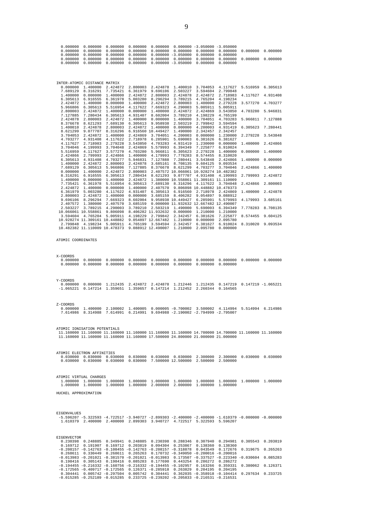| 7.127885<br>2.424878<br>8.376678<br>1.400010<br>8.621299<br>3.704053<br>4.703277<br>4.117627<br>3.704046<br>5.516959<br>2.424866<br>6.305613<br>1.400000<br>7.689129<br>0.000000<br>8.316291<br>1.400000<br>7.735421<br>2.424872<br>6.361979<br>2.800003<br>9.696106<br>2.407572<br>2.503227<br>2.799848 | 7.280434<br>2.800003<br>8.621293<br>2.424878<br>9.077707<br>2.424872<br>4.931408<br>2.718983<br>4.199993<br>4.117627<br>2.799993<br>4.931408<br>2.424872<br>6.305613<br>1.400000<br>6.916555<br>0.000000<br>6.361978<br>1,400000<br>5.003280<br>2.424872<br>8.296294<br>1.380000<br>3.789215<br>10.066061 10.558861 | 6.305613<br>2.424872<br>7.689130<br>2.800003<br>8.316296<br>1.400000<br>4.117622<br>2.279228<br>3.704048<br>3.577270<br>2.424866<br>4.703277<br>2.800003<br>5.966806<br>2.424872<br>6.305613<br>1.400000<br>5.516954<br>0.000000<br>4.117622<br>1.400000<br>7.669323<br>2.407570<br>4.290003<br>9.806098<br>3.594604 4.765204 5.005911<br>10.928274 11.309161 10.448882 9.054897 12.667482<br>4.198234 5.005911 4.765199<br>10.482382 11.110009 10.478373 9.088912 12.490007                                                                                                                                                                                                                                                                                                                                                                                                                                                                                                                            | 4.931407<br>1.400000<br>6.305613<br>2.424872<br>2.424869<br>2.718978<br>3.543850<br>2.424869<br>4.703280<br>1.400000<br>5.946831<br>2.424878<br>7.127885<br>2.800003<br>7.280434<br>2.424872<br>6.305613<br>1.400000<br>4.931407<br>0.000000<br>8.602004<br>3.685159<br>3.789210<br>4.198229 | 8.602004<br>0.000000<br>9.958938<br>1.400000<br>6.916560 10.449427<br>3.704051<br>6.285901<br>4.703283<br>5.579993<br>5.966811<br>4.179993<br>7.127888<br>3.685161<br>7.689130<br>2.407570<br>6.305613<br>3.685159<br>2.503219<br>8.406282 11.932632<br>2.799842<br>3.594594 | 3.789210<br>1.400000<br>2.503219<br>0.000000<br>1.490000<br>4.200003<br>5.690003<br>4.931419<br>6.394349<br>6.305623<br>7.778283<br>7.280441<br>8.708135<br>8.376678 8.621299<br>8.621293 9.077707<br>6.916560<br>8.406282<br>9.958938 10.449427<br>1.490000<br>0.000000<br>2.342457<br>1.210000<br>2.342457<br>1.210000 | 4.198229<br>3.704051<br>2.799842<br>4.200003<br>2.342457<br>0.000000<br>6.381626<br>1.230000<br>7.225877<br>2.279228<br>8.574455<br>3.543848<br>9.604125<br>4.703277<br>2.407572 10.066061 10.928274 10.482382<br>4.931408<br>1.380000 10.558861 11.309161 11.110009<br>8.316296 4.117622<br>9.806098 10.448882 10.478373<br>2.718978<br>9.054897<br>6.285901<br>0.000000 11.932632 12.667482 12.490007<br>5.690003<br>1.210000<br>6.381626<br>0.000000<br>6.381627<br>2.095780 | 4.765199<br>4.703283<br>3.594594<br>4.931419<br>2.342457<br>1.230000<br>6.381627<br>0.000000<br>6.910024<br>1.400000<br>8.310020<br>2.424866<br>9.093534<br>3.704046<br>4.199993<br>3.704048<br>2.424869<br>9.088912<br>5.579993<br>6.394349<br>1.210000<br>7.225877<br>2.095780<br>6.910024<br>0.000000 | 1.400000<br>1,400000<br>2.424866<br>1.400000<br>4.179993<br>8.574455 | 5.966811 7.127888<br>6.305623 7.280441<br>2.279228 3.543848<br>2.424866<br>0.000000 1.400000<br>0.000000<br>1.400000<br>2.799993 2.424872<br>2.424866 2.800003<br>2.424878<br>3.685161<br>7.778283 8.708135<br>9.604125<br>8.310020 9.093534 |
|----------------------------------------------------------------------------------------------------------------------------------------------------------------------------------------------------------------------------------------------------------------------------------------------------------|---------------------------------------------------------------------------------------------------------------------------------------------------------------------------------------------------------------------------------------------------------------------------------------------------------------------|---------------------------------------------------------------------------------------------------------------------------------------------------------------------------------------------------------------------------------------------------------------------------------------------------------------------------------------------------------------------------------------------------------------------------------------------------------------------------------------------------------------------------------------------------------------------------------------------------------------------------------------------------------------------------------------------------------------------------------------------------------------------------------------------------------------------------------------------------------------------------------------------------------------------------------------------------------------------------------------------------------|----------------------------------------------------------------------------------------------------------------------------------------------------------------------------------------------------------------------------------------------------------------------------------------------|------------------------------------------------------------------------------------------------------------------------------------------------------------------------------------------------------------------------------------------------------------------------------|--------------------------------------------------------------------------------------------------------------------------------------------------------------------------------------------------------------------------------------------------------------------------------------------------------------------------|---------------------------------------------------------------------------------------------------------------------------------------------------------------------------------------------------------------------------------------------------------------------------------------------------------------------------------------------------------------------------------------------------------------------------------------------------------------------------------|----------------------------------------------------------------------------------------------------------------------------------------------------------------------------------------------------------------------------------------------------------------------------------------------------------|----------------------------------------------------------------------|----------------------------------------------------------------------------------------------------------------------------------------------------------------------------------------------------------------------------------------------|
| ATOMIC COORDINATES                                                                                                                                                                                                                                                                                       |                                                                                                                                                                                                                                                                                                                     |                                                                                                                                                                                                                                                                                                                                                                                                                                                                                                                                                                                                                                                                                                                                                                                                                                                                                                                                                                                                         |                                                                                                                                                                                                                                                                                              |                                                                                                                                                                                                                                                                              |                                                                                                                                                                                                                                                                                                                          |                                                                                                                                                                                                                                                                                                                                                                                                                                                                                 |                                                                                                                                                                                                                                                                                                          |                                                                      |                                                                                                                                                                                                                                              |
| X-COORDS<br>0.000000<br>0.000000                                                                                                                                                                                                                                                                         |                                                                                                                                                                                                                                                                                                                     |                                                                                                                                                                                                                                                                                                                                                                                                                                                                                                                                                                                                                                                                                                                                                                                                                                                                                                                                                                                                         |                                                                                                                                                                                                                                                                                              |                                                                                                                                                                                                                                                                              |                                                                                                                                                                                                                                                                                                                          | $0.000000$ $0.000000$ $0.000000$ $0.000000$                                                                                                                                                                                                                                                                                                                                                                                                                                     | 0.000000                                                                                                                                                                                                                                                                                                 |                                                                      | 0.000000 0.000000 0.000000                                                                                                                                                                                                                   |
| Y-COORDS<br>0.000000<br>$-1.065221$                                                                                                                                                                                                                                                                      | 0.147214                                                                                                                                                                                                                                                                                                            | 0.000000 1.212435                                                                                                                                                                                                                                                                                                                                                                                                                                                                                                                                                                                                                                                                                                                                                                                                                                                                                                                                                                                       | 2.424872<br>1.359651 1.359657                                                                                                                                                                                                                                                                |                                                                                                                                                                                                                                                                              |                                                                                                                                                                                                                                                                                                                          | 2.424878 1.212446 1.212435 0.147219 0.147219 -1.065221<br>0.147214 1.212452 2.260344                                                                                                                                                                                                                                                                                                                                                                                            | 0.164565                                                                                                                                                                                                                                                                                                 |                                                                      |                                                                                                                                                                                                                                              |
| Z-COORDS<br>0.000000<br>7.614986                                                                                                                                                                                                                                                                         | 1.400000<br>8.314988                                                                                                                                                                                                                                                                                                | 2.100002                                                                                                                                                                                                                                                                                                                                                                                                                                                                                                                                                                                                                                                                                                                                                                                                                                                                                                                                                                                                | 7.614991 6.214991                                                                                                                                                                                                                                                                            |                                                                                                                                                                                                                                                                              |                                                                                                                                                                                                                                                                                                                          | 1.400005 0.000005 -0.700002 3.500002 4.114994 5.514994 6.214986<br>9.694988 -2.190002 -2.794999 -2.795007                                                                                                                                                                                                                                                                                                                                                                       |                                                                                                                                                                                                                                                                                                          |                                                                      |                                                                                                                                                                                                                                              |
| ATOMIC IONISATION POTENTIALS                                                                                                                                                                                                                                                                             |                                                                                                                                                                                                                                                                                                                     | 11.160000 11.160000 11.160000 11.160000 11.160000 11.160000 14.700000 14.700000 11.160000 11.160000<br>11.160000 11.160000 11.160000 11.160000 17.500000 24.800000 21.000000 21.000000                                                                                                                                                                                                                                                                                                                                                                                                                                                                                                                                                                                                                                                                                                                                                                                                                  |                                                                                                                                                                                                                                                                                              |                                                                                                                                                                                                                                                                              |                                                                                                                                                                                                                                                                                                                          |                                                                                                                                                                                                                                                                                                                                                                                                                                                                                 |                                                                                                                                                                                                                                                                                                          |                                                                      |                                                                                                                                                                                                                                              |
| ATOMIC ELECTRON AFFINITIES<br>0.030000                                                                                                                                                                                                                                                                   |                                                                                                                                                                                                                                                                                                                     | $0.030000$ $0.030000$ $0.030000$ $0.030000$ $0.030000$ $0.030000$ $2.300000$<br>$0.030000$ $0.030000$ $0.030000$ $7.500000$ $12.500000$ $2.500000$                                                                                                                                                                                                                                                                                                                                                                                                                                                                                                                                                                                                                                                                                                                                                                                                                                                      |                                                                                                                                                                                                                                                                                              |                                                                                                                                                                                                                                                                              |                                                                                                                                                                                                                                                                                                                          |                                                                                                                                                                                                                                                                                                                                                                                                                                                                                 | 2.500000                                                                                                                                                                                                                                                                                                 | 2.300000 0.030000                                                    | 0.030000                                                                                                                                                                                                                                     |
| ATOMIC VIRTUAL CHARGES<br>1.000000<br>HUCKEL APPROXIMATION                                                                                                                                                                                                                                               |                                                                                                                                                                                                                                                                                                                     | $1.000000$ $1.000000$ $1.000000$ $1.000000$ $1.000000$ $1.000000$ $1.000000$ $1.000000$<br>1.000000 1.000000 1.000000                                                                                                                                                                                                                                                                                                                                                                                                                                                                                                                                                                                                                                                                                                                                                                                                                                                                                   |                                                                                                                                                                                                                                                                                              |                                                                                                                                                                                                                                                                              | 2.000000 2.000000                                                                                                                                                                                                                                                                                                        | 1.000000                                                                                                                                                                                                                                                                                                                                                                                                                                                                        | 1.000000                                                                                                                                                                                                                                                                                                 |                                                                      | 1.000000 1.000000                                                                                                                                                                                                                            |
|                                                                                                                                                                                                                                                                                                          |                                                                                                                                                                                                                                                                                                                     |                                                                                                                                                                                                                                                                                                                                                                                                                                                                                                                                                                                                                                                                                                                                                                                                                                                                                                                                                                                                         |                                                                                                                                                                                                                                                                                              |                                                                                                                                                                                                                                                                              |                                                                                                                                                                                                                                                                                                                          |                                                                                                                                                                                                                                                                                                                                                                                                                                                                                 |                                                                                                                                                                                                                                                                                                          |                                                                      |                                                                                                                                                                                                                                              |
| EIGENVALUES                                                                                                                                                                                                                                                                                              |                                                                                                                                                                                                                                                                                                                     | $-5.596207$ $-5.322593$ $-4.722517$ $-3.940727$ $-2.899303$ $-2.400000$ $-2.400000$ $-1.610379$ $-0.000000$ $-0.000000$<br>1.610379 2.400000 2.400000 2.899303 3.940727 4.722517 5.322593 5.596207                                                                                                                                                                                                                                                                                                                                                                                                                                                                                                                                                                                                                                                                                                                                                                                                      |                                                                                                                                                                                                                                                                                              |                                                                                                                                                                                                                                                                              |                                                                                                                                                                                                                                                                                                                          |                                                                                                                                                                                                                                                                                                                                                                                                                                                                                 |                                                                                                                                                                                                                                                                                                          |                                                                      |                                                                                                                                                                                                                                              |
| EIGENVECTOR                                                                                                                                                                                                                                                                                              |                                                                                                                                                                                                                                                                                                                     | 0.230398 0.248885 0.349941 0.248885 0.230398 0.288346 0.307940 0.294981<br>0.169712 0.191907 0.169712 0.203819 0.094304 0.253867 0.138360 0.138360<br>$-0.208157 - 0.142763 - 0.108455 - 0.142763 - 0.208157 - 0.318878$ 0.043549 0.172676 0.319675 0.265263<br>$0.268611$ $0.330449$ $0.268611$ $0.265263$ $0.170732$ $-0.349050$ $-0.200016$ $-0.200016$<br>$-0.013983$ $-0.201021$ $-0.381570$ $-0.201021$ $-0.013983$ 0.173507 $-0.337527$ $-0.223340$ $-0.030604$ 0.085283<br>$0.198416 \quad 0.305143 \quad 0.198416 \quad 0.085283 \quad 0.177690 \quad 0.443254 \quad 0.286272$<br>$-0.194455 -0.216332 -0.160756 -0.216332 -0.194455 -0.102957 0.163266 0.359331 0.380062 0.126371$<br>$-0.172565 - 0.409717 - 0.172565$ $0.126371 - 0.285918$ $0.263829$ $0.204195$ $0.204195$<br>$0.304441$ $0.005742$ $-0.297504$ $0.005742$ $0.304441$ $0.362035$ $-0.358918$ $-0.104414$ $0.297634$ $0.233725$<br>$-0.015285 - 0.252189 - 0.015285$ 0.233725 $-0.239202 - 0.205833 - 0.216531 - 0.216531$ |                                                                                                                                                                                                                                                                                              |                                                                                                                                                                                                                                                                              |                                                                                                                                                                                                                                                                                                                          |                                                                                                                                                                                                                                                                                                                                                                                                                                                                                 | 0.286272                                                                                                                                                                                                                                                                                                 |                                                                      | 0.305543 0.203819                                                                                                                                                                                                                            |

| $0.000000$ $0.000000$ $0.000000$ $0.000000$ $0.000000$ $0.000000$ $-3.050000$ $-3.050000$ |  |  |  |  |  |  |  |  |  |
|-------------------------------------------------------------------------------------------|--|--|--|--|--|--|--|--|--|
|-------------------------------------------------------------------------------------------|--|--|--|--|--|--|--|--|--|

0.000000 1.400000 2.424872 2.800003 2.424878 1.400010 3.704053 4.117627 5.516959 6.305613

1.400000 0.000000 1.400000 2.424872 2.800003 2.424878 2.424872 2.718983 4.117627 4.931408

2.424872 1.400000 0.000000 1.400000 2.424872 2.800003 1.400000 2.279228 3.577270 4.703277

2.800003 2.424872 1.400000 0.000000 1.400000 2.424872 2.424869 3.543850 4.703280 5.946831

7.689129 8.316291 7.735421 6.361979 9.696106 2.503227 3.594604 2.799848

6.305613 6.916555 6.361978 5.003280 8.296294 3.789215 4.765204 4.198234

5.966806 6.305613 5.516954 4.117622 7.669323 4.290003 5.005911 5.005911

INTER-ATOMIC DISTANCE MATRIX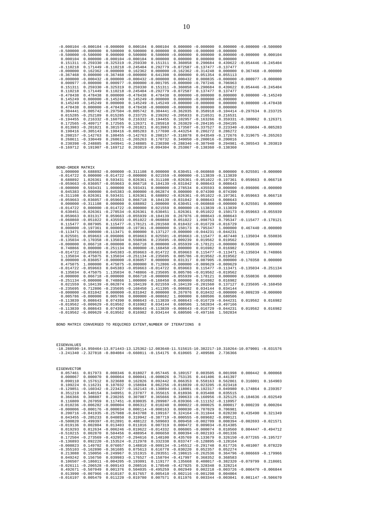| <b>EIGENVECTOR</b>                    |                        |             |             |                                   |                       |                                   |                                   |                       |
|---------------------------------------|------------------------|-------------|-------------|-----------------------------------|-----------------------|-----------------------------------|-----------------------------------|-----------------------|
| 0.057461<br>0.017973                  | 0.008346               | 0.018027    | 0.057445    | 0.189157                          | 0.003505              | 0.001998                          | 0.000442                          | 0.000068              |
| 0.000067<br>0.000070                  | 0.000064               | 0.000041    | $-0.000026$ | 0.753135                          | 0.441406              | 0.441397                          |                                   |                       |
| 0.090110<br>0.157612                  | 0.323688               | 0.162826    | 0.092442    | 0.066353                          | 0.558163              | 0.562861                          | 0.316001                          | 0.164903              |
| 0.109224<br>0.116231                  | 0.107032               | 0.158694    | 0.062256    | $-0.018839$                       | $-0.023205$           | $-0.023418$                       |                                   |                       |
| $-0.160342$<br>$-0.129851$            | $-0.223427$            | $-0.162143$ |             | $-0.130894 - 0.118001$            | $-0.192317$           | $-0.049980$                       | 0.174864                          | 0.239357              |
| 0.351219<br>0.540154                  | 0.348951               | 0.237877    | 0.355615    | 0.018936                          | 0.035408              | 0.035515                          |                                   |                       |
| 0.366366<br>0.308887                  | 0.230265               | 0.307087    | 0.365666    |                                   | $0.390633 - 0.160956$ | $-0.325125 - 0.184636 - 0.032549$ |                                   |                       |
| 0.116809<br>0.267059                  | 0.117451               | $-0.030035$ | 0.209987    | $-0.039366 - 0.111152 - 0.110957$ |                       |                                   |                                   |                       |
| $-0.010236$<br>$-0.006282$            | $-0.000004$            | 0.006312    | 0.010240    |                                   | $0.000022 - 0.000025$ | 0.000017                          | 0.000239                          | 0.000204              |
| $-0.000006 - 0.000176$                | $-0.000034$            | 0.000114    | $-0.000163$ |                                   | $0.000030 - 0.707029$ | 0.706981                          |                                   |                       |
| $0.200716 - 0.041935$                 | $-0.257988$            | $-0.043788$ | 0.199167    |                                   | $0.324164 - 0.311844$ | 0.028230                          | 0.435490                          | 0.321349              |
| $0.043455 - 0.285233$                 | 0.040850               | 0.319942    | $-0.387719$ | $-0.000555 - 0.089682$            |                       | $-0.090121$                       |                                   |                       |
| $-0.500820$<br>$-0.499397$            | $-0.012891$            | 0.488122    | 0.509603    |                                   | $0.009458 - 0.002709$ |                                   | $0.008394 - 0.002693 - 0.021571$  |                       |
| $-0.019136$<br>0.002804               | 0.013403               | 0.011016    | 0.007319    | 0.000472                          | 0.009034              | $-0.014385$                       |                                   |                       |
| 0.019293                              | $0.012634 - 0.006246$  | $-0.019622$ | $-0.014332$ |                                   | $0.006065 - 0.000074$ | 0.010560                          |                                   | $0.004447 - 0.494712$ |
| $-0.510215$<br>0.002870               | 0.504456               | 0.488954    | 0.006650    |                                   | $0.000394 - 0.002193$ | $-0.001336$                       |                                   |                       |
| 0.172504<br>$-0.273569$               | $-0.432957$            | $-0.294616$ | 0.148100    | 0.435769                          | 0.133679              |                                   | $0.326150 - 0.077265 - 0.195727$  |                       |
| $-0.136893$<br>0.092220               | $-0.153524 - 0.212978$ |             | 0.332338    | 0.033747                          | $-0.128895$           | $-0.128164$                       |                                   |                       |
| 0.149702<br>$-0.008823$               | 0.076057               | 0.148810    | $-0.009134$ | $-0.145512$                       | $-0.291748$           | 0.017726                          | 0.401007                          | 0.078229              |
| $-0.162890 - 0.361685$<br>$-0.355103$ |                        | 0.075613    | 0.616778    | $-0.030220$                       | 0.052357              | 0.052274                          |                                   |                       |
| 0.213088<br>0.150056                  | $-0.249967$            | 0.151915    |             | $0.203551 - 0.198615$             | $-0.262536$           |                                   | $0.364796 - 0.006669 - 0.179966$  |                       |
| 0.049242<br>0.156750                  | 0.039983               | $-0.176527$ | $-0.158704$ | $-0.417997$                       | 0.368352              | 0.368583                          |                                   |                       |
| $-0.186011$<br>0.106507               | $-0.004205 - 0.193091$ |             | 0.119177    | 0.135668                          | 0.408017              | $-0.382320 - 0.079799$            |                                   | 0.218601              |
| $-0.206528$<br>$-0.026111$            | $-0.009143$            | 0.208516    |             | $0.178540 - 0.427825$             | 0.328348              | 0.328214                          |                                   |                       |
| $-0.507049$<br>0.492671               | 0.001376               | 0.504035    | $-0.495259$ | 0.002949                          | 0.002218              |                                   | $-0.003726 - 0.006470 - 0.006844$ |                       |
| $-0.007966$<br>0.013990               | $-0.010187$            | 0.017657    | 0.005410    | $-0.002116$                       | $-0.001298$           | 0.004004                          |                                   |                       |
| 0.005479<br>$-0.016197$               | 0.011220               | $-0.019780$ | 0.007571    | 0.011976                          |                       | $0.003344 - 0.003041$             |                                   | $0.001147 - 0.506670$ |

EIGENVALUES<br>-18.288590-14.950464-13.871443-13.125362-12.083648-11.515615-10.382217-10.310264-10.079001 -8.031576<br>-3.241340 -2.327818 -0.804084 -0.660811 -0.154175 0.610665 2.409586 2.736366

BOND MATRIX CONVERGED TO REQUIRED EXTENT,NUMBER OF ITERATIONS 8

| BOND-ORDER MATRIX      |                                   |                                             |                                  |                       |                                             |                                                        |                                  |                                             |                       |
|------------------------|-----------------------------------|---------------------------------------------|----------------------------------|-----------------------|---------------------------------------------|--------------------------------------------------------|----------------------------------|---------------------------------------------|-----------------------|
| 1,000000               |                                   | $0.688892 - 0.000000 - 0.311108$            |                                  | 0.000000              |                                             | $0.630451 - 0.060860 0.000000$                         |                                  |                                             | $0.025501 - 0.000000$ |
| $-0.014722$            |                                   | $0.000000 - 0.014722 - 0.000000$            |                                  |                       |                                             | $0.021559 - 0.000000 - 0.113839 - 0.113839$            |                                  |                                             |                       |
| 0.688892               | 1.026361                          | 0.593431                                    |                                  |                       |                                             | $0.026361 - 0.311108 - 0.026361 - 0.051022 - 0.197361$ |                                  | 0.059663                                    | 0.066718              |
|                        | $-0.059663 - 0.036057 - 0.059663$ |                                             | 0.066718                         |                       | $0.104139 - 0.031042$                       | 0.008643                                               | 0.008643                         |                                             |                       |
| $-0.000000$            | 0.593431                          | 1,000000                                    | 0.593431                         |                       | $0.000000 - 0.278534$                       | 0.435593                                               |                                  | $0.000000 - 0.096006 - 0.000000$            |                       |
|                        | $0.045383 - 0.000000$             |                                             | $0.045383 - 0.000000 - 0.062874$ |                       | 0.000000                                    | 0.074390                                               | 0.074390                         |                                             |                       |
| $-0.311108$            | 0.026361                          | 0.593431                                    | 1.026361                         |                       |                                             | $0.688892 - 0.026361 - 0.051022 - 0.197361$            |                                  | 0.059663                                    | 0.066718              |
|                        | $-0.059663 - 0.036057 - 0.059663$ |                                             | 0.066718                         |                       | $0.104139 - 0.031042$                       | 0.008643                                               | 0.008643                         |                                             |                       |
|                        | $0.000000 - 0.311108$             | 0.000000                                    | 0.688892                         | 1,000000              |                                             | $0.630451 - 0.060860 - 0.000000$                       |                                  | 0.025501                                    | 0.000000              |
| $-0.014722$            |                                   | $0.000000 - 0.014722 - 0.000000$            |                                  | 0.021559              |                                             | $0.000000 - 0.113839 - 0.113839$                       |                                  |                                             |                       |
|                        |                                   | $0.630451 - 0.026361 - 0.278534 - 0.026361$ |                                  | 0.630451              | 1.026361                                    | 0.051022                                               |                                  | $0.150173 - 0.059663 - 0.055939$            |                       |
| 0.059663               | 0.031317                          |                                             | $0.059663 - 0.055939 - 0.104139$ |                       |                                             | $0.267076 - 0.008643 - 0.008643$                       |                                  |                                             |                       |
|                        | $-0.060860 - 0.051022$            |                                             | $0.435593 - 0.051022 - 0.060860$ |                       | 0.051022                                    | 1.098753                                               |                                  | $0.795347 - 0.115477 - 0.178121$            |                       |
| 0.115477               | 0.087905                          |                                             | $0.115477 - 0.178121 - 0.201560$ |                       |                                             | $0.018432 - 0.016729 - 0.016729$                       |                                  |                                             |                       |
|                        | $0.000000 - 0.197361$             |                                             | $0.000000 - 0.197361 - 0.000000$ |                       | 0.150173                                    | 0.795347                                               | 1,000000                         |                                             | $0.467440 - 0.000000$ |
|                        | $-0.113471 - 0.000000 - 0.113471$ |                                             | 0.000000                         |                       |                                             | $0.137127 - 0.000000 - 0.044231 - 0.044231$            |                                  |                                             |                       |
| 0.025501               |                                   | $0.059663 - 0.096006$                       | 0.059663                         |                       | $0.025501 - 0.059663 - 0.115477$            |                                                        | 0.467440                         | 1.135034                                    | 0.550836              |
|                        |                                   | $-0.135034 - 0.170358 - 0.135034$           | 0.550836                         |                       | $0.235695 - 0.009239$                       | 0.019562                                               | 0.019562                         |                                             |                       |
| $-0.000000$            |                                   | $0.066718 - 0.000000$                       | 0.066718                         |                       |                                             | $0.000000 - 0.055939 - 0.178121 - 0.000000$            |                                  | 0.550836                                    | 1,000000              |
| 0.748866               |                                   | $0.000000 - 0.251134$                       |                                  |                       | $0.000000 - 0.168450 - 0.000000$            | 0.016982                                               | 0.016982                         |                                             |                       |
|                        | $-0.014722 - 0.059663$            |                                             | $0.045383 - 0.059663 - 0.014722$ |                       | 0.059663                                    |                                                        | $0.115477 - 0.113471 - 0.135034$ |                                             | 0.748866              |
| 1.135034               | 0.475075                          |                                             | $0.135034 - 0.251134 - 0.235695$ |                       |                                             | $0.005786 - 0.019562 - 0.019562$                       |                                  |                                             |                       |
|                        |                                   | $0.000000 - 0.036057 - 0.000000 - 0.036057$ |                                  | 0.000000              | 0.031317                                    |                                                        | $0.087905 - 0.000000 - 0.170358$ |                                             | 0.000000              |
| 0.475075               | 1,000000                          |                                             | $0.475075 - 0.000000$            |                       |                                             | $0.712806 - 0.000000 - 0.009629 - 0.009629$            |                                  |                                             |                       |
|                        | $-0.014722 - 0.059663$            |                                             | $0.045383 - 0.059663 - 0.014722$ |                       | 0.059663                                    |                                                        |                                  | $0.115477 - 0.113471 - 0.135034 - 0.251134$ |                       |
| 0.135034               | 0.475075                          | 1.135034                                    |                                  | $0.748866 - 0.235695$ |                                             | $0.005786 - 0.019562 - 0.019562$                       |                                  |                                             |                       |
| $-0.000000$            |                                   | $0.066718 - 0.000000$                       |                                  |                       | $0.066718 - 0.000000 - 0.055939 - 0.178121$ |                                                        | 0.000000                         | 0.550836                                    | 0.000000              |
| $-0.251134 - 0.000000$ |                                   | 0.748866                                    |                                  | 1.000000 -0.168450    | 0.000000                                    | 0.016982                                               | 0.016982                         |                                             |                       |
| 0.021559               |                                   | $0.104139 - 0.062874$                       |                                  |                       | $0.104139$ $0.021559 -0.104139 -0.201560$   |                                                        | 0.137127                         |                                             | $0.235695 - 0.168450$ |
| $-0.235695$            |                                   | $0.712806 - 0.235695 - 0.168450$            |                                  |                       | 1.411395 -0.008682                          | 0.034144                                               | 0.034144                         |                                             |                       |
|                        | $-0.000000 - 0.031042$            |                                             | $0.000000 - 0.031042$            | 0.000000              | 0.267076                                    |                                                        |                                  | $0.018432 - 0.000000 - 0.009239 - 0.000000$ |                       |
|                        | $0.005786 - 0.000000$             | 0.005786                                    |                                  | $0.000000 - 0.008682$ | 1,000000                                    | 0.680506                                               | 0.680506                         |                                             |                       |
| $-0.113839$            | 0.008643                          | 0.074390                                    |                                  |                       |                                             | $0.008643 - 0.113839 - 0.008643 - 0.016729 - 0.044231$ |                                  | 0.019562                                    | 0.016982              |
|                        | $-0.019562 - 0.009629 - 0.019562$ |                                             | 0.016982                         | 0.034144              | 0.680506                                    |                                                        | 1.502834 -0.497166               |                                             |                       |
| $-0.113839$            | 0.008643                          | 0.074390                                    |                                  |                       |                                             | $0.008643 - 0.113839 - 0.008643 - 0.016729 - 0.044231$ |                                  | 0.019562                                    | 0.016982              |
|                        | $-0.019562 - 0.009629 - 0.019562$ |                                             | 0.016982                         | 0.034144              |                                             | $0.680506 - 0.497166$                                  | 1.502834                         |                                             |                       |

|             |                        | $-0.000104 - 0.000104 - 0.000000$            | 0.000104              | 0.000104                                    |                                                        | $0.000000 - 0.000000$            |                       | $0.000000 - 0.000000 - 0.500000$  |                       |
|-------------|------------------------|----------------------------------------------|-----------------------|---------------------------------------------|--------------------------------------------------------|----------------------------------|-----------------------|-----------------------------------|-----------------------|
|             | $-0.500000 - 0.000000$ | 0.500000                                     | 0.500000              | 0.000000                                    |                                                        | $0.000000 - 0.000000$            | $-0.000000$           |                                   |                       |
|             | $-0.500000 - 0.500000$ | 0.000000                                     | 0.500000              |                                             | $0.500000 - 0.000000$                                  | 0.000000                         |                       | $0.000000 - 0.000000$             | 0.000104              |
| 0.000104    |                        | $0.000000 - 0.000104 - 0.000104$             |                       | 0.000000                                    | 0.000000                                               | 0.000000                         | 0.000000              |                                   |                       |
|             |                        | $0.151311 - 0.259330 - 0.325319 - 0.259330$  |                       | 0.151311                                    | 0.360858                                               | 0.290684                         |                       | $0.439622 - 0.054446 - 0.245404$  |                       |
| $-0.110218$ |                        | $0.171449 - 0.110218 - 0.245404$             |                       |                                             |                                                        | $0.292779 - 0.072587 - 0.137477$ | $-0.137477$           |                                   |                       |
| $-0.000000$ |                        | $0.162362 - 0.000000$                        | 0.162362              | 0.000000                                    |                                                        | $-0.162362 - 0.314248$           | 0.000000              |                                   | $0.367468 - 0.000000$ |
| $-0.367468$ |                        | $0.000000 - 0.367468 - 0.000000$             |                       | 0.641398                                    | 0.000000                                               | 0.051354                         | 0.055113              |                                   |                       |
|             |                        | $-0.000000 - 0.000432 - 0.000000 - 0.000432$ |                       | $-0.000000$                                 | 0.000432                                               | 0.000835                         |                       | $-0.000000 - 0.000977 - 0.000000$ |                       |
|             | $0.000977 - 0.000000$  |                                              |                       |                                             | $0.000977 - 0.000000 - 0.001705 - 0.000000 - 0.707246$ |                                  | 0.706963              |                                   |                       |
| 0.151311    | 0.259330               | $-0.325319$                                  | 0.259330              |                                             | $0.151311 - 0.360858 - 0.290684$                       |                                  | 0.439622              |                                   | $0.054446 - 0.245404$ |
| 0.110218    | 0.171449               |                                              |                       | $0.110218 - 0.245404 - 0.292779 - 0.072587$ |                                                        | 0.137477                         | 0.137477              |                                   |                       |
| $-0.478438$ | 0.478438               |                                              | $0.000000 - 0.478438$ | 0.478438                                    |                                                        | $0.000000 - 0.000000$            | 0.000000              |                                   | $0.000000 - 0.145249$ |
| 0.145249    | 0.000000               | $-0.145249$                                  |                       | $0.145249 - 0.000000$                       |                                                        | $0.000000 - 0.000000$            | $-0.000000$           |                                   |                       |
|             | $0.145249 - 0.145249$  | 0.000000                                     | 0.145249              | $-0.145249$                                 | $-0.000000 - 0.000000$                                 |                                  | 0.000000              |                                   | $0.000000 - 0.478438$ |
| 0.478438    |                        | $0.000000 - 0.478438$                        |                       | $0.478438 - 0.000000 - 0.000000$            |                                                        | 0.000000                         | 0.000000              |                                   |                       |
|             |                        | $0.304441 - 0.005742 - 0.297504 - 0.005742$  |                       |                                             | $0.304441 - 0.362035$                                  | 0.358918                         |                       | $-0.104414 - 0.297634$            | 0.233725              |
|             | $0.015285 - 0.252189$  | 0.015285                                     | 0.233725              |                                             | $0.239202 - 0.205833$                                  | 0.216531                         | 0.216531              |                                   |                       |
| $-0.194455$ |                        | $0.216332 - 0.160756$                        |                       | $0.216332 - 0.194455$                       |                                                        | $0.102957 - 0.163266$            |                       | $0.359331 - 0.380062$             | 0.126371              |
|             | $0.172565 - 0.409717$  | 0.172565                                     | 0.126371              | 0.285918                                    |                                                        | $0.263829 - 0.204195$            | $-0.204195$           |                                   |                       |
|             | $0.013983 - 0.201021$  |                                              | $0.381570 - 0.201021$ | 0.013983                                    |                                                        | $0.173507 - 0.337527$            |                       | $0.223340 -0.030604 -0.085283$    |                       |
|             | $0.198416 - 0.305143$  |                                              | $0.198416 - 0.085283$ |                                             | $0.177690 - 0.443254$                                  | 0.286272                         | 0.286272              |                                   |                       |
|             | $0.208157 - 0.142763$  |                                              | $0.108455 - 0.142763$ |                                             | $0.208157 - 0.318878$                                  |                                  | $0.043549 - 0.172676$ |                                   | $0.319675 - 0.265263$ |
|             | $0.268611 - 0.330449$  |                                              | $0.268611 - 0.265263$ | 0.170732                                    |                                                        | $0.349050 - 0.200016 - 0.200016$ |                       |                                   |                       |
|             | $0.230398 - 0.248885$  |                                              | $0.349941 - 0.248885$ |                                             | $0.230398 - 0.288346 - 0.307940$                       |                                  |                       | $0.294981 - 0.305543$             | 0.203819              |
| $-0.169712$ | 0.191907               | $-0.169712$                                  | 0.203819              | $-0.094304$                                 |                                                        | $0.253867 - 0.138360 - 0.138360$ |                       |                                   |                       |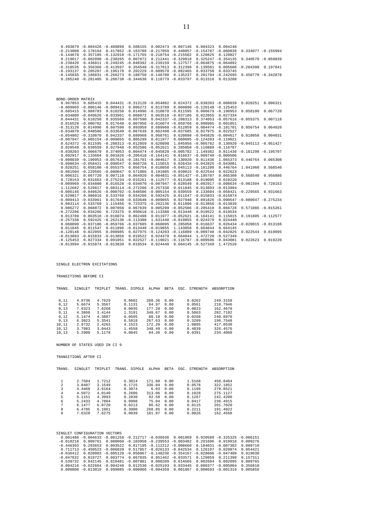| 0.493879 -0.004426 -0.489899 0.508155 0.002473 -0.007146 0.004323 0.004248<br>$-0.213008$ $-0.170164$ 0.417852 $-0.163788$ $-0.217059$ 0.440857 $-0.154787$ $-0.060839$ 0.334077 $-0.155994$<br>$-0.144678$ 0.357185 $-0.132910$ $-0.171765$ $-0.218754$ $-0.215502$ 0.120825 0.120827<br>$0.219617 - 0.002090 - 0.230265$ $0.007672$ $0.212441 - 0.329818$ $0.325247 - 0.354135$ $0.340570 - 0.059839$<br>$-0.238420$ 0.436811 $-0.249245$ $-0.048392$ $-0.239159$ 0.127577 $-0.064875$ $-0.064892$<br>$-0.318535$ 0.356366 $-0.413597$ 0.354548 $-0.317613$ 0.312398 0.139501 0.005608 $-0.204390$ 0.197841<br>$-0.193137$ 0.205207 $-0.196170$ 0.202229 $-0.089570$ $-0.082465$ 0.033758 0.033745<br>$-0.145835$ $0.186831$ $-0.266273$ $0.188750$ $-0.146700$ $0.135237$ $0.201704$ $-0.242695$ $0.450770$ $-0.342878$<br>$0.285240 - 0.281405$ $0.286730 - 0.344638$ $0.118779 - 0.033797$ $0.013316$ $0.013288$<br>BOND-ORDER MATRIX<br>$0.967853$ $0.685415$ $0.044431$ $-0.313120$ $-0.054802$ $0.624372$ $-0.038203$ $-0.008039$ $0.020251$ $0.006321$<br>$-0.009969 - 0.006146 - 0.009413 - 0.006272 - 0.013789 - 0.060890 - 0.120148 - 0.125453$<br>$0.685415$ 0.989783 0.610250 0.014996 -0.310870 -0.011595 0.006679 -0.190953 0.058100<br>0.067720<br>$-0.034880 -0.049626 -0.033961 0.068872 0.063518 -0.037186 0.022055 0.027334$<br>0.044431  0.610250  0.935569  0.607590  0.042337  -0.288313  0.374053  -0.057616  -0.055375<br>0.007118<br>$0.016528 - 0.000702$ 0.017648 0.007056 -0.016074 -0.059766 0.090985 0.091051<br>$-0.313120$ 0.014996 0.607590 0.993959 0.689968 $-0.012859$ 0.004474 $-0.181701$ 0.056754 0.064920<br>$-0.034070 - 0.048506 - 0.033640$ $0.067639$ 0.062498 $-0.037685$ 0.027975 0.022527<br>$-0.054802 - 0.310870$ 0.042337 0.689968 0.968761 0.620898 $-0.045820$ $-0.004617$ 0.018058<br>0.004831<br>$-0.007947 - 0.005154 - 0.009055 0.005299 0.011977 0.060095 - 0.124203 - 0.119021$<br>0.624372 -0.011595 -0.288313 -0.012859 0.620898 1.045956 -0.005782 0.130920 -0.045113 -0.051427<br>$0.028549$ 0.039559 0.027948 -0.052586 -0.052621 0.285058 -0.116889 -0.116787<br>$-0.038203$ 0.006679 0.374053 0.004474 $-0.045820$ $-0.005782$ 1.149382 0.811436 $-0.181298$ $-0.195707$<br>$0.092917$ $0.133604$ $0.091826$ $-0.205410$ $-0.164141$ $0.016637$ $-0.009740$ $-0.009506$<br>$-0.008039$ $-0.190953$ $-0.057616$ $-0.181701$ $-0.004617$ 0.130920 0.811436 1.065373 0.446764 0.065308<br>$-0.098634 -0.058421 -0.090547 0.066728 0.115015 0.026434 -0.042825 -0.043081$<br>$0.020251$ 0.058100 -0.055375 0.056754 0.018058 -0.045113 -0.181298 0.446764 1.041960<br>0.568540<br>$-0.081504 -0.229565 -0.080047$ 0.571086 0.191805 -0.020015 0.022544 0.022623<br>$0.006321$ $0.067720$ $0.007118$ $0.064920$ $0.004831$ $-0.051427$ $-0.195707$ $0.065308$ $0.568540$<br>0.956886<br>$0.728153$ $0.031663$ $-0.275234$ $-0.015261$ $-0.112577$ $-0.013188$ 0.019095 0.019220<br>$-0.009969$ $-0.034880$ 0.016528 $-0.034070$ $-0.007947$ 0.028549 0.092917 $-0.098634$ $-0.081504$<br>0.728153<br>1.112682 0.529817 0.083114 -0.272206 -0.257338 0.011845 -0.013893 -0.013994<br>$-0.006146 -0.049626 -0.000702 -0.048506 -0.005154$ 0.039559 0.133604 -0.058421 -0.229565 0.031663<br>0.529817 0.986016 0.533769 0.034266 0.592425 0.011547 -0.015833 -0.015874<br>$-0.009413 - 0.033961$ 0.017648 $-0.033640$ $-0.009055$ 0.027948 0.091826 $-0.090547$ $-0.080047$ $-0.275234$<br>$0.083114$ 0.533769 1.115456 0.723375 -0.262136 0.011896 -0.013856 -0.013839<br>$0.006272$ 0.068872 0.007056 0.067639 0.005299 -0.052586 -0.205410 0.066728 0.571086 -0.015261<br>$-0.272206$ 0.034266 0.723375 0.950618 $-0.113388$ $-0.013448$ 0.019522 0.019534<br>$0.013789$ $0.063518$ $-0.016074$ $0.062498$ $0.011977$ $-0.052621$ $-0.164141$ $0.115015$ $0.191805$ $-0.112577$<br>$-0.257338$ 0.592425 $-0.262136$ $-0.113388$ 1.631440 $-0.019855$ 0.024379 0.024440<br>$0.060890 -0.037186 -0.059766 -0.037685 0.060095 0.285058 0.016637 0.026434 -0.020015 -0.013188$<br>0.011845 0.011547 0.011896 -0.013448 -0.019855 1.143058 0.664044 0.664145<br>$-0.120148$ 0.022055 0.090985 0.027975 $-0.124203$ $-0.116889$ $-0.009740$ $-0.042825$ 0.022544 0.019095<br>$-0.013893 - 0.015833 - 0.013856$ 0.019522 0.024379 0.664044 1.472720 $-0.527349$<br>$-0.125453$ 0.027334 0.091051 0.022527 -0.119021 -0.116787 -0.009506 -0.043081<br>0.022623 0.019220<br>$-0.013994 - 0.015874 - 0.013839$<br>0.019534  0.024440  0.664145  -0.527349  1.472526 |  |  |  |  |  |  |
|-------------------------------------------------------------------------------------------------------------------------------------------------------------------------------------------------------------------------------------------------------------------------------------------------------------------------------------------------------------------------------------------------------------------------------------------------------------------------------------------------------------------------------------------------------------------------------------------------------------------------------------------------------------------------------------------------------------------------------------------------------------------------------------------------------------------------------------------------------------------------------------------------------------------------------------------------------------------------------------------------------------------------------------------------------------------------------------------------------------------------------------------------------------------------------------------------------------------------------------------------------------------------------------------------------------------------------------------------------------------------------------------------------------------------------------------------------------------------------------------------------------------------------------------------------------------------------------------------------------------------------------------------------------------------------------------------------------------------------------------------------------------------------------------------------------------------------------------------------------------------------------------------------------------------------------------------------------------------------------------------------------------------------------------------------------------------------------------------------------------------------------------------------------------------------------------------------------------------------------------------------------------------------------------------------------------------------------------------------------------------------------------------------------------------------------------------------------------------------------------------------------------------------------------------------------------------------------------------------------------------------------------------------------------------------------------------------------------------------------------------------------------------------------------------------------------------------------------------------------------------------------------------------------------------------------------------------------------------------------------------------------------------------------------------------------------------------------------------------------------------------------------------------------------------------------------------------------------------------------------------------------------------------------------------------------------------------------------------------------------------------------------------------------------------------------------------------------------------------------------------------------------------------------------------------------------------------------------------------------------------------------------------------------------------------------------------------------------------------------------------------------------------------------------------------------------------------------------------------------------------------------------------------------------------------------------------------------------------------------------------------------------------------------------------------------------------------------------------------------------------------------------------------------------------------------------------------------------------------------------------------------------------------------------------------------------------------------------------------------------------------------------------------------------------------------------------------------------------------------------------------------------------|--|--|--|--|--|--|
|                                                                                                                                                                                                                                                                                                                                                                                                                                                                                                                                                                                                                                                                                                                                                                                                                                                                                                                                                                                                                                                                                                                                                                                                                                                                                                                                                                                                                                                                                                                                                                                                                                                                                                                                                                                                                                                                                                                                                                                                                                                                                                                                                                                                                                                                                                                                                                                                                                                                                                                                                                                                                                                                                                                                                                                                                                                                                                                                                                                                                                                                                                                                                                                                                                                                                                                                                                                                                                                                                                                                                                                                                                                                                                                                                                                                                                                                                                                                                                                                                                                                                                                                                                                                                                                                                                                                                                                                                                                                                                                         |  |  |  |  |  |  |
|                                                                                                                                                                                                                                                                                                                                                                                                                                                                                                                                                                                                                                                                                                                                                                                                                                                                                                                                                                                                                                                                                                                                                                                                                                                                                                                                                                                                                                                                                                                                                                                                                                                                                                                                                                                                                                                                                                                                                                                                                                                                                                                                                                                                                                                                                                                                                                                                                                                                                                                                                                                                                                                                                                                                                                                                                                                                                                                                                                                                                                                                                                                                                                                                                                                                                                                                                                                                                                                                                                                                                                                                                                                                                                                                                                                                                                                                                                                                                                                                                                                                                                                                                                                                                                                                                                                                                                                                                                                                                                                         |  |  |  |  |  |  |
|                                                                                                                                                                                                                                                                                                                                                                                                                                                                                                                                                                                                                                                                                                                                                                                                                                                                                                                                                                                                                                                                                                                                                                                                                                                                                                                                                                                                                                                                                                                                                                                                                                                                                                                                                                                                                                                                                                                                                                                                                                                                                                                                                                                                                                                                                                                                                                                                                                                                                                                                                                                                                                                                                                                                                                                                                                                                                                                                                                                                                                                                                                                                                                                                                                                                                                                                                                                                                                                                                                                                                                                                                                                                                                                                                                                                                                                                                                                                                                                                                                                                                                                                                                                                                                                                                                                                                                                                                                                                                                                         |  |  |  |  |  |  |
|                                                                                                                                                                                                                                                                                                                                                                                                                                                                                                                                                                                                                                                                                                                                                                                                                                                                                                                                                                                                                                                                                                                                                                                                                                                                                                                                                                                                                                                                                                                                                                                                                                                                                                                                                                                                                                                                                                                                                                                                                                                                                                                                                                                                                                                                                                                                                                                                                                                                                                                                                                                                                                                                                                                                                                                                                                                                                                                                                                                                                                                                                                                                                                                                                                                                                                                                                                                                                                                                                                                                                                                                                                                                                                                                                                                                                                                                                                                                                                                                                                                                                                                                                                                                                                                                                                                                                                                                                                                                                                                         |  |  |  |  |  |  |
|                                                                                                                                                                                                                                                                                                                                                                                                                                                                                                                                                                                                                                                                                                                                                                                                                                                                                                                                                                                                                                                                                                                                                                                                                                                                                                                                                                                                                                                                                                                                                                                                                                                                                                                                                                                                                                                                                                                                                                                                                                                                                                                                                                                                                                                                                                                                                                                                                                                                                                                                                                                                                                                                                                                                                                                                                                                                                                                                                                                                                                                                                                                                                                                                                                                                                                                                                                                                                                                                                                                                                                                                                                                                                                                                                                                                                                                                                                                                                                                                                                                                                                                                                                                                                                                                                                                                                                                                                                                                                                                         |  |  |  |  |  |  |
|                                                                                                                                                                                                                                                                                                                                                                                                                                                                                                                                                                                                                                                                                                                                                                                                                                                                                                                                                                                                                                                                                                                                                                                                                                                                                                                                                                                                                                                                                                                                                                                                                                                                                                                                                                                                                                                                                                                                                                                                                                                                                                                                                                                                                                                                                                                                                                                                                                                                                                                                                                                                                                                                                                                                                                                                                                                                                                                                                                                                                                                                                                                                                                                                                                                                                                                                                                                                                                                                                                                                                                                                                                                                                                                                                                                                                                                                                                                                                                                                                                                                                                                                                                                                                                                                                                                                                                                                                                                                                                                         |  |  |  |  |  |  |
|                                                                                                                                                                                                                                                                                                                                                                                                                                                                                                                                                                                                                                                                                                                                                                                                                                                                                                                                                                                                                                                                                                                                                                                                                                                                                                                                                                                                                                                                                                                                                                                                                                                                                                                                                                                                                                                                                                                                                                                                                                                                                                                                                                                                                                                                                                                                                                                                                                                                                                                                                                                                                                                                                                                                                                                                                                                                                                                                                                                                                                                                                                                                                                                                                                                                                                                                                                                                                                                                                                                                                                                                                                                                                                                                                                                                                                                                                                                                                                                                                                                                                                                                                                                                                                                                                                                                                                                                                                                                                                                         |  |  |  |  |  |  |
|                                                                                                                                                                                                                                                                                                                                                                                                                                                                                                                                                                                                                                                                                                                                                                                                                                                                                                                                                                                                                                                                                                                                                                                                                                                                                                                                                                                                                                                                                                                                                                                                                                                                                                                                                                                                                                                                                                                                                                                                                                                                                                                                                                                                                                                                                                                                                                                                                                                                                                                                                                                                                                                                                                                                                                                                                                                                                                                                                                                                                                                                                                                                                                                                                                                                                                                                                                                                                                                                                                                                                                                                                                                                                                                                                                                                                                                                                                                                                                                                                                                                                                                                                                                                                                                                                                                                                                                                                                                                                                                         |  |  |  |  |  |  |
|                                                                                                                                                                                                                                                                                                                                                                                                                                                                                                                                                                                                                                                                                                                                                                                                                                                                                                                                                                                                                                                                                                                                                                                                                                                                                                                                                                                                                                                                                                                                                                                                                                                                                                                                                                                                                                                                                                                                                                                                                                                                                                                                                                                                                                                                                                                                                                                                                                                                                                                                                                                                                                                                                                                                                                                                                                                                                                                                                                                                                                                                                                                                                                                                                                                                                                                                                                                                                                                                                                                                                                                                                                                                                                                                                                                                                                                                                                                                                                                                                                                                                                                                                                                                                                                                                                                                                                                                                                                                                                                         |  |  |  |  |  |  |
|                                                                                                                                                                                                                                                                                                                                                                                                                                                                                                                                                                                                                                                                                                                                                                                                                                                                                                                                                                                                                                                                                                                                                                                                                                                                                                                                                                                                                                                                                                                                                                                                                                                                                                                                                                                                                                                                                                                                                                                                                                                                                                                                                                                                                                                                                                                                                                                                                                                                                                                                                                                                                                                                                                                                                                                                                                                                                                                                                                                                                                                                                                                                                                                                                                                                                                                                                                                                                                                                                                                                                                                                                                                                                                                                                                                                                                                                                                                                                                                                                                                                                                                                                                                                                                                                                                                                                                                                                                                                                                                         |  |  |  |  |  |  |
|                                                                                                                                                                                                                                                                                                                                                                                                                                                                                                                                                                                                                                                                                                                                                                                                                                                                                                                                                                                                                                                                                                                                                                                                                                                                                                                                                                                                                                                                                                                                                                                                                                                                                                                                                                                                                                                                                                                                                                                                                                                                                                                                                                                                                                                                                                                                                                                                                                                                                                                                                                                                                                                                                                                                                                                                                                                                                                                                                                                                                                                                                                                                                                                                                                                                                                                                                                                                                                                                                                                                                                                                                                                                                                                                                                                                                                                                                                                                                                                                                                                                                                                                                                                                                                                                                                                                                                                                                                                                                                                         |  |  |  |  |  |  |
|                                                                                                                                                                                                                                                                                                                                                                                                                                                                                                                                                                                                                                                                                                                                                                                                                                                                                                                                                                                                                                                                                                                                                                                                                                                                                                                                                                                                                                                                                                                                                                                                                                                                                                                                                                                                                                                                                                                                                                                                                                                                                                                                                                                                                                                                                                                                                                                                                                                                                                                                                                                                                                                                                                                                                                                                                                                                                                                                                                                                                                                                                                                                                                                                                                                                                                                                                                                                                                                                                                                                                                                                                                                                                                                                                                                                                                                                                                                                                                                                                                                                                                                                                                                                                                                                                                                                                                                                                                                                                                                         |  |  |  |  |  |  |
|                                                                                                                                                                                                                                                                                                                                                                                                                                                                                                                                                                                                                                                                                                                                                                                                                                                                                                                                                                                                                                                                                                                                                                                                                                                                                                                                                                                                                                                                                                                                                                                                                                                                                                                                                                                                                                                                                                                                                                                                                                                                                                                                                                                                                                                                                                                                                                                                                                                                                                                                                                                                                                                                                                                                                                                                                                                                                                                                                                                                                                                                                                                                                                                                                                                                                                                                                                                                                                                                                                                                                                                                                                                                                                                                                                                                                                                                                                                                                                                                                                                                                                                                                                                                                                                                                                                                                                                                                                                                                                                         |  |  |  |  |  |  |
|                                                                                                                                                                                                                                                                                                                                                                                                                                                                                                                                                                                                                                                                                                                                                                                                                                                                                                                                                                                                                                                                                                                                                                                                                                                                                                                                                                                                                                                                                                                                                                                                                                                                                                                                                                                                                                                                                                                                                                                                                                                                                                                                                                                                                                                                                                                                                                                                                                                                                                                                                                                                                                                                                                                                                                                                                                                                                                                                                                                                                                                                                                                                                                                                                                                                                                                                                                                                                                                                                                                                                                                                                                                                                                                                                                                                                                                                                                                                                                                                                                                                                                                                                                                                                                                                                                                                                                                                                                                                                                                         |  |  |  |  |  |  |
|                                                                                                                                                                                                                                                                                                                                                                                                                                                                                                                                                                                                                                                                                                                                                                                                                                                                                                                                                                                                                                                                                                                                                                                                                                                                                                                                                                                                                                                                                                                                                                                                                                                                                                                                                                                                                                                                                                                                                                                                                                                                                                                                                                                                                                                                                                                                                                                                                                                                                                                                                                                                                                                                                                                                                                                                                                                                                                                                                                                                                                                                                                                                                                                                                                                                                                                                                                                                                                                                                                                                                                                                                                                                                                                                                                                                                                                                                                                                                                                                                                                                                                                                                                                                                                                                                                                                                                                                                                                                                                                         |  |  |  |  |  |  |
|                                                                                                                                                                                                                                                                                                                                                                                                                                                                                                                                                                                                                                                                                                                                                                                                                                                                                                                                                                                                                                                                                                                                                                                                                                                                                                                                                                                                                                                                                                                                                                                                                                                                                                                                                                                                                                                                                                                                                                                                                                                                                                                                                                                                                                                                                                                                                                                                                                                                                                                                                                                                                                                                                                                                                                                                                                                                                                                                                                                                                                                                                                                                                                                                                                                                                                                                                                                                                                                                                                                                                                                                                                                                                                                                                                                                                                                                                                                                                                                                                                                                                                                                                                                                                                                                                                                                                                                                                                                                                                                         |  |  |  |  |  |  |
|                                                                                                                                                                                                                                                                                                                                                                                                                                                                                                                                                                                                                                                                                                                                                                                                                                                                                                                                                                                                                                                                                                                                                                                                                                                                                                                                                                                                                                                                                                                                                                                                                                                                                                                                                                                                                                                                                                                                                                                                                                                                                                                                                                                                                                                                                                                                                                                                                                                                                                                                                                                                                                                                                                                                                                                                                                                                                                                                                                                                                                                                                                                                                                                                                                                                                                                                                                                                                                                                                                                                                                                                                                                                                                                                                                                                                                                                                                                                                                                                                                                                                                                                                                                                                                                                                                                                                                                                                                                                                                                         |  |  |  |  |  |  |
|                                                                                                                                                                                                                                                                                                                                                                                                                                                                                                                                                                                                                                                                                                                                                                                                                                                                                                                                                                                                                                                                                                                                                                                                                                                                                                                                                                                                                                                                                                                                                                                                                                                                                                                                                                                                                                                                                                                                                                                                                                                                                                                                                                                                                                                                                                                                                                                                                                                                                                                                                                                                                                                                                                                                                                                                                                                                                                                                                                                                                                                                                                                                                                                                                                                                                                                                                                                                                                                                                                                                                                                                                                                                                                                                                                                                                                                                                                                                                                                                                                                                                                                                                                                                                                                                                                                                                                                                                                                                                                                         |  |  |  |  |  |  |
|                                                                                                                                                                                                                                                                                                                                                                                                                                                                                                                                                                                                                                                                                                                                                                                                                                                                                                                                                                                                                                                                                                                                                                                                                                                                                                                                                                                                                                                                                                                                                                                                                                                                                                                                                                                                                                                                                                                                                                                                                                                                                                                                                                                                                                                                                                                                                                                                                                                                                                                                                                                                                                                                                                                                                                                                                                                                                                                                                                                                                                                                                                                                                                                                                                                                                                                                                                                                                                                                                                                                                                                                                                                                                                                                                                                                                                                                                                                                                                                                                                                                                                                                                                                                                                                                                                                                                                                                                                                                                                                         |  |  |  |  |  |  |
|                                                                                                                                                                                                                                                                                                                                                                                                                                                                                                                                                                                                                                                                                                                                                                                                                                                                                                                                                                                                                                                                                                                                                                                                                                                                                                                                                                                                                                                                                                                                                                                                                                                                                                                                                                                                                                                                                                                                                                                                                                                                                                                                                                                                                                                                                                                                                                                                                                                                                                                                                                                                                                                                                                                                                                                                                                                                                                                                                                                                                                                                                                                                                                                                                                                                                                                                                                                                                                                                                                                                                                                                                                                                                                                                                                                                                                                                                                                                                                                                                                                                                                                                                                                                                                                                                                                                                                                                                                                                                                                         |  |  |  |  |  |  |
|                                                                                                                                                                                                                                                                                                                                                                                                                                                                                                                                                                                                                                                                                                                                                                                                                                                                                                                                                                                                                                                                                                                                                                                                                                                                                                                                                                                                                                                                                                                                                                                                                                                                                                                                                                                                                                                                                                                                                                                                                                                                                                                                                                                                                                                                                                                                                                                                                                                                                                                                                                                                                                                                                                                                                                                                                                                                                                                                                                                                                                                                                                                                                                                                                                                                                                                                                                                                                                                                                                                                                                                                                                                                                                                                                                                                                                                                                                                                                                                                                                                                                                                                                                                                                                                                                                                                                                                                                                                                                                                         |  |  |  |  |  |  |
|                                                                                                                                                                                                                                                                                                                                                                                                                                                                                                                                                                                                                                                                                                                                                                                                                                                                                                                                                                                                                                                                                                                                                                                                                                                                                                                                                                                                                                                                                                                                                                                                                                                                                                                                                                                                                                                                                                                                                                                                                                                                                                                                                                                                                                                                                                                                                                                                                                                                                                                                                                                                                                                                                                                                                                                                                                                                                                                                                                                                                                                                                                                                                                                                                                                                                                                                                                                                                                                                                                                                                                                                                                                                                                                                                                                                                                                                                                                                                                                                                                                                                                                                                                                                                                                                                                                                                                                                                                                                                                                         |  |  |  |  |  |  |
|                                                                                                                                                                                                                                                                                                                                                                                                                                                                                                                                                                                                                                                                                                                                                                                                                                                                                                                                                                                                                                                                                                                                                                                                                                                                                                                                                                                                                                                                                                                                                                                                                                                                                                                                                                                                                                                                                                                                                                                                                                                                                                                                                                                                                                                                                                                                                                                                                                                                                                                                                                                                                                                                                                                                                                                                                                                                                                                                                                                                                                                                                                                                                                                                                                                                                                                                                                                                                                                                                                                                                                                                                                                                                                                                                                                                                                                                                                                                                                                                                                                                                                                                                                                                                                                                                                                                                                                                                                                                                                                         |  |  |  |  |  |  |
|                                                                                                                                                                                                                                                                                                                                                                                                                                                                                                                                                                                                                                                                                                                                                                                                                                                                                                                                                                                                                                                                                                                                                                                                                                                                                                                                                                                                                                                                                                                                                                                                                                                                                                                                                                                                                                                                                                                                                                                                                                                                                                                                                                                                                                                                                                                                                                                                                                                                                                                                                                                                                                                                                                                                                                                                                                                                                                                                                                                                                                                                                                                                                                                                                                                                                                                                                                                                                                                                                                                                                                                                                                                                                                                                                                                                                                                                                                                                                                                                                                                                                                                                                                                                                                                                                                                                                                                                                                                                                                                         |  |  |  |  |  |  |
|                                                                                                                                                                                                                                                                                                                                                                                                                                                                                                                                                                                                                                                                                                                                                                                                                                                                                                                                                                                                                                                                                                                                                                                                                                                                                                                                                                                                                                                                                                                                                                                                                                                                                                                                                                                                                                                                                                                                                                                                                                                                                                                                                                                                                                                                                                                                                                                                                                                                                                                                                                                                                                                                                                                                                                                                                                                                                                                                                                                                                                                                                                                                                                                                                                                                                                                                                                                                                                                                                                                                                                                                                                                                                                                                                                                                                                                                                                                                                                                                                                                                                                                                                                                                                                                                                                                                                                                                                                                                                                                         |  |  |  |  |  |  |
|                                                                                                                                                                                                                                                                                                                                                                                                                                                                                                                                                                                                                                                                                                                                                                                                                                                                                                                                                                                                                                                                                                                                                                                                                                                                                                                                                                                                                                                                                                                                                                                                                                                                                                                                                                                                                                                                                                                                                                                                                                                                                                                                                                                                                                                                                                                                                                                                                                                                                                                                                                                                                                                                                                                                                                                                                                                                                                                                                                                                                                                                                                                                                                                                                                                                                                                                                                                                                                                                                                                                                                                                                                                                                                                                                                                                                                                                                                                                                                                                                                                                                                                                                                                                                                                                                                                                                                                                                                                                                                                         |  |  |  |  |  |  |
|                                                                                                                                                                                                                                                                                                                                                                                                                                                                                                                                                                                                                                                                                                                                                                                                                                                                                                                                                                                                                                                                                                                                                                                                                                                                                                                                                                                                                                                                                                                                                                                                                                                                                                                                                                                                                                                                                                                                                                                                                                                                                                                                                                                                                                                                                                                                                                                                                                                                                                                                                                                                                                                                                                                                                                                                                                                                                                                                                                                                                                                                                                                                                                                                                                                                                                                                                                                                                                                                                                                                                                                                                                                                                                                                                                                                                                                                                                                                                                                                                                                                                                                                                                                                                                                                                                                                                                                                                                                                                                                         |  |  |  |  |  |  |
|                                                                                                                                                                                                                                                                                                                                                                                                                                                                                                                                                                                                                                                                                                                                                                                                                                                                                                                                                                                                                                                                                                                                                                                                                                                                                                                                                                                                                                                                                                                                                                                                                                                                                                                                                                                                                                                                                                                                                                                                                                                                                                                                                                                                                                                                                                                                                                                                                                                                                                                                                                                                                                                                                                                                                                                                                                                                                                                                                                                                                                                                                                                                                                                                                                                                                                                                                                                                                                                                                                                                                                                                                                                                                                                                                                                                                                                                                                                                                                                                                                                                                                                                                                                                                                                                                                                                                                                                                                                                                                                         |  |  |  |  |  |  |
|                                                                                                                                                                                                                                                                                                                                                                                                                                                                                                                                                                                                                                                                                                                                                                                                                                                                                                                                                                                                                                                                                                                                                                                                                                                                                                                                                                                                                                                                                                                                                                                                                                                                                                                                                                                                                                                                                                                                                                                                                                                                                                                                                                                                                                                                                                                                                                                                                                                                                                                                                                                                                                                                                                                                                                                                                                                                                                                                                                                                                                                                                                                                                                                                                                                                                                                                                                                                                                                                                                                                                                                                                                                                                                                                                                                                                                                                                                                                                                                                                                                                                                                                                                                                                                                                                                                                                                                                                                                                                                                         |  |  |  |  |  |  |
|                                                                                                                                                                                                                                                                                                                                                                                                                                                                                                                                                                                                                                                                                                                                                                                                                                                                                                                                                                                                                                                                                                                                                                                                                                                                                                                                                                                                                                                                                                                                                                                                                                                                                                                                                                                                                                                                                                                                                                                                                                                                                                                                                                                                                                                                                                                                                                                                                                                                                                                                                                                                                                                                                                                                                                                                                                                                                                                                                                                                                                                                                                                                                                                                                                                                                                                                                                                                                                                                                                                                                                                                                                                                                                                                                                                                                                                                                                                                                                                                                                                                                                                                                                                                                                                                                                                                                                                                                                                                                                                         |  |  |  |  |  |  |
|                                                                                                                                                                                                                                                                                                                                                                                                                                                                                                                                                                                                                                                                                                                                                                                                                                                                                                                                                                                                                                                                                                                                                                                                                                                                                                                                                                                                                                                                                                                                                                                                                                                                                                                                                                                                                                                                                                                                                                                                                                                                                                                                                                                                                                                                                                                                                                                                                                                                                                                                                                                                                                                                                                                                                                                                                                                                                                                                                                                                                                                                                                                                                                                                                                                                                                                                                                                                                                                                                                                                                                                                                                                                                                                                                                                                                                                                                                                                                                                                                                                                                                                                                                                                                                                                                                                                                                                                                                                                                                                         |  |  |  |  |  |  |
|                                                                                                                                                                                                                                                                                                                                                                                                                                                                                                                                                                                                                                                                                                                                                                                                                                                                                                                                                                                                                                                                                                                                                                                                                                                                                                                                                                                                                                                                                                                                                                                                                                                                                                                                                                                                                                                                                                                                                                                                                                                                                                                                                                                                                                                                                                                                                                                                                                                                                                                                                                                                                                                                                                                                                                                                                                                                                                                                                                                                                                                                                                                                                                                                                                                                                                                                                                                                                                                                                                                                                                                                                                                                                                                                                                                                                                                                                                                                                                                                                                                                                                                                                                                                                                                                                                                                                                                                                                                                                                                         |  |  |  |  |  |  |
|                                                                                                                                                                                                                                                                                                                                                                                                                                                                                                                                                                                                                                                                                                                                                                                                                                                                                                                                                                                                                                                                                                                                                                                                                                                                                                                                                                                                                                                                                                                                                                                                                                                                                                                                                                                                                                                                                                                                                                                                                                                                                                                                                                                                                                                                                                                                                                                                                                                                                                                                                                                                                                                                                                                                                                                                                                                                                                                                                                                                                                                                                                                                                                                                                                                                                                                                                                                                                                                                                                                                                                                                                                                                                                                                                                                                                                                                                                                                                                                                                                                                                                                                                                                                                                                                                                                                                                                                                                                                                                                         |  |  |  |  |  |  |
|                                                                                                                                                                                                                                                                                                                                                                                                                                                                                                                                                                                                                                                                                                                                                                                                                                                                                                                                                                                                                                                                                                                                                                                                                                                                                                                                                                                                                                                                                                                                                                                                                                                                                                                                                                                                                                                                                                                                                                                                                                                                                                                                                                                                                                                                                                                                                                                                                                                                                                                                                                                                                                                                                                                                                                                                                                                                                                                                                                                                                                                                                                                                                                                                                                                                                                                                                                                                                                                                                                                                                                                                                                                                                                                                                                                                                                                                                                                                                                                                                                                                                                                                                                                                                                                                                                                                                                                                                                                                                                                         |  |  |  |  |  |  |
|                                                                                                                                                                                                                                                                                                                                                                                                                                                                                                                                                                                                                                                                                                                                                                                                                                                                                                                                                                                                                                                                                                                                                                                                                                                                                                                                                                                                                                                                                                                                                                                                                                                                                                                                                                                                                                                                                                                                                                                                                                                                                                                                                                                                                                                                                                                                                                                                                                                                                                                                                                                                                                                                                                                                                                                                                                                                                                                                                                                                                                                                                                                                                                                                                                                                                                                                                                                                                                                                                                                                                                                                                                                                                                                                                                                                                                                                                                                                                                                                                                                                                                                                                                                                                                                                                                                                                                                                                                                                                                                         |  |  |  |  |  |  |
|                                                                                                                                                                                                                                                                                                                                                                                                                                                                                                                                                                                                                                                                                                                                                                                                                                                                                                                                                                                                                                                                                                                                                                                                                                                                                                                                                                                                                                                                                                                                                                                                                                                                                                                                                                                                                                                                                                                                                                                                                                                                                                                                                                                                                                                                                                                                                                                                                                                                                                                                                                                                                                                                                                                                                                                                                                                                                                                                                                                                                                                                                                                                                                                                                                                                                                                                                                                                                                                                                                                                                                                                                                                                                                                                                                                                                                                                                                                                                                                                                                                                                                                                                                                                                                                                                                                                                                                                                                                                                                                         |  |  |  |  |  |  |
|                                                                                                                                                                                                                                                                                                                                                                                                                                                                                                                                                                                                                                                                                                                                                                                                                                                                                                                                                                                                                                                                                                                                                                                                                                                                                                                                                                                                                                                                                                                                                                                                                                                                                                                                                                                                                                                                                                                                                                                                                                                                                                                                                                                                                                                                                                                                                                                                                                                                                                                                                                                                                                                                                                                                                                                                                                                                                                                                                                                                                                                                                                                                                                                                                                                                                                                                                                                                                                                                                                                                                                                                                                                                                                                                                                                                                                                                                                                                                                                                                                                                                                                                                                                                                                                                                                                                                                                                                                                                                                                         |  |  |  |  |  |  |
|                                                                                                                                                                                                                                                                                                                                                                                                                                                                                                                                                                                                                                                                                                                                                                                                                                                                                                                                                                                                                                                                                                                                                                                                                                                                                                                                                                                                                                                                                                                                                                                                                                                                                                                                                                                                                                                                                                                                                                                                                                                                                                                                                                                                                                                                                                                                                                                                                                                                                                                                                                                                                                                                                                                                                                                                                                                                                                                                                                                                                                                                                                                                                                                                                                                                                                                                                                                                                                                                                                                                                                                                                                                                                                                                                                                                                                                                                                                                                                                                                                                                                                                                                                                                                                                                                                                                                                                                                                                                                                                         |  |  |  |  |  |  |
|                                                                                                                                                                                                                                                                                                                                                                                                                                                                                                                                                                                                                                                                                                                                                                                                                                                                                                                                                                                                                                                                                                                                                                                                                                                                                                                                                                                                                                                                                                                                                                                                                                                                                                                                                                                                                                                                                                                                                                                                                                                                                                                                                                                                                                                                                                                                                                                                                                                                                                                                                                                                                                                                                                                                                                                                                                                                                                                                                                                                                                                                                                                                                                                                                                                                                                                                                                                                                                                                                                                                                                                                                                                                                                                                                                                                                                                                                                                                                                                                                                                                                                                                                                                                                                                                                                                                                                                                                                                                                                                         |  |  |  |  |  |  |
|                                                                                                                                                                                                                                                                                                                                                                                                                                                                                                                                                                                                                                                                                                                                                                                                                                                                                                                                                                                                                                                                                                                                                                                                                                                                                                                                                                                                                                                                                                                                                                                                                                                                                                                                                                                                                                                                                                                                                                                                                                                                                                                                                                                                                                                                                                                                                                                                                                                                                                                                                                                                                                                                                                                                                                                                                                                                                                                                                                                                                                                                                                                                                                                                                                                                                                                                                                                                                                                                                                                                                                                                                                                                                                                                                                                                                                                                                                                                                                                                                                                                                                                                                                                                                                                                                                                                                                                                                                                                                                                         |  |  |  |  |  |  |
|                                                                                                                                                                                                                                                                                                                                                                                                                                                                                                                                                                                                                                                                                                                                                                                                                                                                                                                                                                                                                                                                                                                                                                                                                                                                                                                                                                                                                                                                                                                                                                                                                                                                                                                                                                                                                                                                                                                                                                                                                                                                                                                                                                                                                                                                                                                                                                                                                                                                                                                                                                                                                                                                                                                                                                                                                                                                                                                                                                                                                                                                                                                                                                                                                                                                                                                                                                                                                                                                                                                                                                                                                                                                                                                                                                                                                                                                                                                                                                                                                                                                                                                                                                                                                                                                                                                                                                                                                                                                                                                         |  |  |  |  |  |  |
|                                                                                                                                                                                                                                                                                                                                                                                                                                                                                                                                                                                                                                                                                                                                                                                                                                                                                                                                                                                                                                                                                                                                                                                                                                                                                                                                                                                                                                                                                                                                                                                                                                                                                                                                                                                                                                                                                                                                                                                                                                                                                                                                                                                                                                                                                                                                                                                                                                                                                                                                                                                                                                                                                                                                                                                                                                                                                                                                                                                                                                                                                                                                                                                                                                                                                                                                                                                                                                                                                                                                                                                                                                                                                                                                                                                                                                                                                                                                                                                                                                                                                                                                                                                                                                                                                                                                                                                                                                                                                                                         |  |  |  |  |  |  |
|                                                                                                                                                                                                                                                                                                                                                                                                                                                                                                                                                                                                                                                                                                                                                                                                                                                                                                                                                                                                                                                                                                                                                                                                                                                                                                                                                                                                                                                                                                                                                                                                                                                                                                                                                                                                                                                                                                                                                                                                                                                                                                                                                                                                                                                                                                                                                                                                                                                                                                                                                                                                                                                                                                                                                                                                                                                                                                                                                                                                                                                                                                                                                                                                                                                                                                                                                                                                                                                                                                                                                                                                                                                                                                                                                                                                                                                                                                                                                                                                                                                                                                                                                                                                                                                                                                                                                                                                                                                                                                                         |  |  |  |  |  |  |
|                                                                                                                                                                                                                                                                                                                                                                                                                                                                                                                                                                                                                                                                                                                                                                                                                                                                                                                                                                                                                                                                                                                                                                                                                                                                                                                                                                                                                                                                                                                                                                                                                                                                                                                                                                                                                                                                                                                                                                                                                                                                                                                                                                                                                                                                                                                                                                                                                                                                                                                                                                                                                                                                                                                                                                                                                                                                                                                                                                                                                                                                                                                                                                                                                                                                                                                                                                                                                                                                                                                                                                                                                                                                                                                                                                                                                                                                                                                                                                                                                                                                                                                                                                                                                                                                                                                                                                                                                                                                                                                         |  |  |  |  |  |  |
|                                                                                                                                                                                                                                                                                                                                                                                                                                                                                                                                                                                                                                                                                                                                                                                                                                                                                                                                                                                                                                                                                                                                                                                                                                                                                                                                                                                                                                                                                                                                                                                                                                                                                                                                                                                                                                                                                                                                                                                                                                                                                                                                                                                                                                                                                                                                                                                                                                                                                                                                                                                                                                                                                                                                                                                                                                                                                                                                                                                                                                                                                                                                                                                                                                                                                                                                                                                                                                                                                                                                                                                                                                                                                                                                                                                                                                                                                                                                                                                                                                                                                                                                                                                                                                                                                                                                                                                                                                                                                                                         |  |  |  |  |  |  |
|                                                                                                                                                                                                                                                                                                                                                                                                                                                                                                                                                                                                                                                                                                                                                                                                                                                                                                                                                                                                                                                                                                                                                                                                                                                                                                                                                                                                                                                                                                                                                                                                                                                                                                                                                                                                                                                                                                                                                                                                                                                                                                                                                                                                                                                                                                                                                                                                                                                                                                                                                                                                                                                                                                                                                                                                                                                                                                                                                                                                                                                                                                                                                                                                                                                                                                                                                                                                                                                                                                                                                                                                                                                                                                                                                                                                                                                                                                                                                                                                                                                                                                                                                                                                                                                                                                                                                                                                                                                                                                                         |  |  |  |  |  |  |
|                                                                                                                                                                                                                                                                                                                                                                                                                                                                                                                                                                                                                                                                                                                                                                                                                                                                                                                                                                                                                                                                                                                                                                                                                                                                                                                                                                                                                                                                                                                                                                                                                                                                                                                                                                                                                                                                                                                                                                                                                                                                                                                                                                                                                                                                                                                                                                                                                                                                                                                                                                                                                                                                                                                                                                                                                                                                                                                                                                                                                                                                                                                                                                                                                                                                                                                                                                                                                                                                                                                                                                                                                                                                                                                                                                                                                                                                                                                                                                                                                                                                                                                                                                                                                                                                                                                                                                                                                                                                                                                         |  |  |  |  |  |  |
|                                                                                                                                                                                                                                                                                                                                                                                                                                                                                                                                                                                                                                                                                                                                                                                                                                                                                                                                                                                                                                                                                                                                                                                                                                                                                                                                                                                                                                                                                                                                                                                                                                                                                                                                                                                                                                                                                                                                                                                                                                                                                                                                                                                                                                                                                                                                                                                                                                                                                                                                                                                                                                                                                                                                                                                                                                                                                                                                                                                                                                                                                                                                                                                                                                                                                                                                                                                                                                                                                                                                                                                                                                                                                                                                                                                                                                                                                                                                                                                                                                                                                                                                                                                                                                                                                                                                                                                                                                                                                                                         |  |  |  |  |  |  |
|                                                                                                                                                                                                                                                                                                                                                                                                                                                                                                                                                                                                                                                                                                                                                                                                                                                                                                                                                                                                                                                                                                                                                                                                                                                                                                                                                                                                                                                                                                                                                                                                                                                                                                                                                                                                                                                                                                                                                                                                                                                                                                                                                                                                                                                                                                                                                                                                                                                                                                                                                                                                                                                                                                                                                                                                                                                                                                                                                                                                                                                                                                                                                                                                                                                                                                                                                                                                                                                                                                                                                                                                                                                                                                                                                                                                                                                                                                                                                                                                                                                                                                                                                                                                                                                                                                                                                                                                                                                                                                                         |  |  |  |  |  |  |
|                                                                                                                                                                                                                                                                                                                                                                                                                                                                                                                                                                                                                                                                                                                                                                                                                                                                                                                                                                                                                                                                                                                                                                                                                                                                                                                                                                                                                                                                                                                                                                                                                                                                                                                                                                                                                                                                                                                                                                                                                                                                                                                                                                                                                                                                                                                                                                                                                                                                                                                                                                                                                                                                                                                                                                                                                                                                                                                                                                                                                                                                                                                                                                                                                                                                                                                                                                                                                                                                                                                                                                                                                                                                                                                                                                                                                                                                                                                                                                                                                                                                                                                                                                                                                                                                                                                                                                                                                                                                                                                         |  |  |  |  |  |  |
|                                                                                                                                                                                                                                                                                                                                                                                                                                                                                                                                                                                                                                                                                                                                                                                                                                                                                                                                                                                                                                                                                                                                                                                                                                                                                                                                                                                                                                                                                                                                                                                                                                                                                                                                                                                                                                                                                                                                                                                                                                                                                                                                                                                                                                                                                                                                                                                                                                                                                                                                                                                                                                                                                                                                                                                                                                                                                                                                                                                                                                                                                                                                                                                                                                                                                                                                                                                                                                                                                                                                                                                                                                                                                                                                                                                                                                                                                                                                                                                                                                                                                                                                                                                                                                                                                                                                                                                                                                                                                                                         |  |  |  |  |  |  |

SINGLE ELECTRON EXCITATIONS

TRANSITIONS BEFORE CI

| TRANS. | SINGLET | TRIPLET | TRANS. DIPOLE | ALPHA  | <b>BETA</b> | OSC.<br>STRENGTH | ABSORPTION |
|--------|---------|---------|---------------|--------|-------------|------------------|------------|
|        |         |         |               |        |             |                  |            |
| 8,11   | 4.9736  | 4.7629  | 0.0602        | 268.36 | 0.00        | 0.0262           | 249.3158   |
| 8,12   | 5.6674  | 5.3567  | 0.1131        | 84.97  | 0.00        | 0.0561           | 218.7946   |
| 8,13   | 7.6323  | 7.6268  | 0.0035        | 177.28 | 0.00        | 0.0023           | 162.4670   |
| 9.11   | 4.3860  | 3.4144  | 1.3191        | 348.67 | 0.00        | 0.5063           | 282.7192   |
| 9.12   | 5.1474  | 4.3887  | 0.0595        | 88.18  | 0.00        | 0.0268           | 240.8970   |
| 9.13   | 6.3023  | 5.3541  | 0.5818        | 267.63 | 0.00        | 0.3209           | 196.7548   |
| 10.11  | 2.9732  | 2.4263  | 4.1523        | 172.20 | 0.00        | 1.0805           | 417.0530   |
| 10.12  | 3.7983  | 3.0443  | 1.4558        | 348.49 | 0.00        | 0.4839           | 326.4576   |
| 10.13  | 5.2900  | 5.1178  | 0.0845        | 84.36  | 0.00        | 0.0391           | 234.4060   |

NUMBER OF STATES USED IN CI 9

TRANSITIONS AFTER CI

| SINGLET | TR TPT.ET | TRANS. | ALPHA  | BETA          | STRENGTH<br>OSC. | ABSORPTION |
|---------|-----------|--------|--------|---------------|------------------|------------|
|         |           |        |        |               |                  |            |
| 2.7504  | 1.7212    | 6.3014 | 171.60 | 0.00          | 1.5168           | 450.8404   |
| 3.8487  | 3.1549    | 0.1715 | 336.84 | 0.00          | 0.0578           | 322.1852   |
| 4.4468  | 3.6164    | 0.3074 | 6.03   | 0.00          | 0.1196           | 278.8521   |
| 4.5072  | 4.0140    | 0.2606 | 313.06 | 0.00          | 0.1028           | 275.1127   |
| 5.1151  | 4.3993    | 0.2830 | 92.58  | 0.00          | 0.1267           | 242.4200   |
| 5.2433  | 4.7804    | 0.0908 | 75.04  | 0.00          | 0.0417           | 236.4915   |
| 6.1477  | 6.0720    | 0.0213 | 86.62  | 0.00          | 0.0115           | 201.7020   |
| 6.4785  | 6.1061    | 0.3900 | 268.85 | 0.00          | 0.2211           | 191.4022   |
| 7.6328  | 7.6275    | 0.0039 | 181.87 | 0.00          | 0.0026           | 162.4568   |
|         |           |        |        | <b>DIPOLE</b> |                  |            |

| SINGLET CONFIGURATION VECTORS |                                                                                                    |          |                                                                        |                                                        |                   |                    |          |
|-------------------------------|----------------------------------------------------------------------------------------------------|----------|------------------------------------------------------------------------|--------------------------------------------------------|-------------------|--------------------|----------|
|                               | $0.001486 - 0.004633 - 0.001258 - 0.212717 - 0.036936 - 0.001969 - 0.920589 - 0.325325 - 0.006151$ |          |                                                                        |                                                        |                   |                    |          |
| $-0.018218$                   | 0 009761                                                                                           |          | $0.000060 - 0.103950 - 0.239553 - 0.003482 - 0.291606 - 0.919918$      |                                                        |                   |                    | 0 009276 |
| $-0.446393$                   | 0 293653                                                                                           | 0.003522 |                                                                        | $0.817195 - 0.112212 - 0.008660 - 0.184031 - 0.007302$ |                   |                    | 0.009710 |
|                               | $0.711713 - 0.450523 - 0.006839 - 0.517857 - 0.026133 - 0.042534 - 0.126197 - 0.029874$            |          |                                                                        |                                                        |                   |                    | 0 054421 |
| $-0.036412$                   |                                                                                                    |          | $0.020003$ -0.005120 -0.056067 -0.148236 -0.354167 -0.028606 -0.047409 |                                                        |                   |                    | 0 919038 |
| $-0.047832$                   | 0 019727                                                                                           | 0.003774 |                                                                        | 0.067835 0.951462 -0.033571 0.129859 0.211398          |                   |                    | 0 157311 |
| 0 538732                      | 0 842145                                                                                           |          | 0.010481 -0.007801 0.008209                                            |                                                        | 0 014666 0 002684 | 0 002095           | 0 009765 |
|                               | በ በበ4216 –በ በ22664 –በ በበ4248                                                                       |          |                                                                        | 0.012530 -0.025193 0.933445                            |                   | 0 000377 -0 005004 | 0 356810 |
|                               | $-0.013019$                                                                                        |          | $0.999885 - 0.000006 - 0.004359$ 0.001867                              |                                                        |                   | 0.000693 -0.001319 | 0 005856 |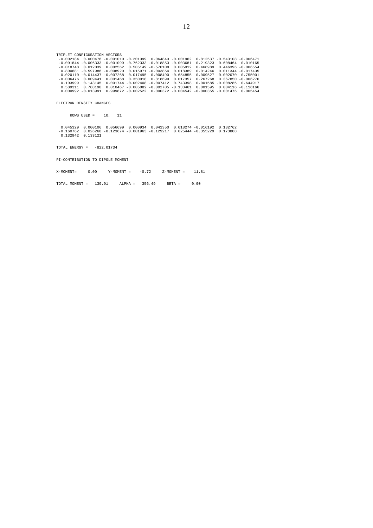TRIPLET CONFIGURATION VECTORS<br>-0.002184 0.000476 -0.001010 -0.201399 0.064843 -0.001962 0.812537 -0.543108 -0.006471<br>-0.001844 -0.006333 -0.001099 -0.762333 -0.018853 -0.003681 0.219323 0.608464 0.010165<br>-0.018748 0.012039  $\begin{array}{cccccccc} 0.800681 & -0.597986 & -0.008920 & 0.015971 & -0.003854 & 0.018389 & 0.014246 & 0.011344 & -0.017435 \\ 0.020110 & -0.014437 & -0.007268 & 0.017495 & 0.008490 & -0.564855 & 0.009527 & 0.002070 & 0.755001 \\ -0.006476 & 0.009441 & 0.001468 & 0$ 

ELECTRON DENSITY CHANGES

TOTAL ENERGY = -822.01734

PI-CONTRIBUTION TO DIPOLE MOMENT

ROWS USED = 10, 11

0.045329 0.000106 0.056699 0.000934 0.041350 0.018274 -0.016192 0.132762<br>-0.160762 0.026268 -0.123674 -0.001963 -0.129217 0.025444 -0.355229 0.173808<br>0.132942 0.133121

X-MOMENT= 0.00 Y-MOMENT = -0.72 Z-MOMENT = 11.81

TOTAL MOMENT = 139.91 ALPHA = 356.49 BETA = 0.00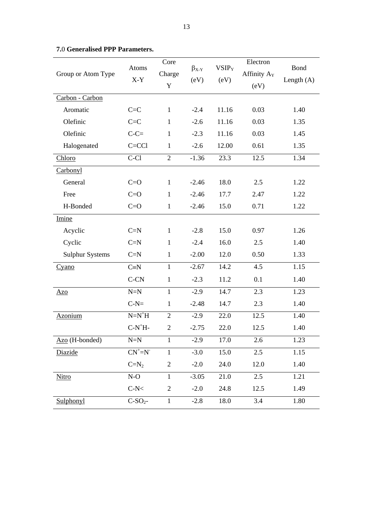| Group or Atom Type     | Atoms<br>$X-Y$   | Core<br>Charge<br>$\mathbf Y$ | $\beta_{X-Y}$<br>(eV) | VSIP <sub>Y</sub><br>(eV) | Electron<br>Affinity A <sub>Y</sub><br>(eV) | <b>Bond</b><br>Length $(A)$ |
|------------------------|------------------|-------------------------------|-----------------------|---------------------------|---------------------------------------------|-----------------------------|
| Carbon - Carbon        |                  |                               |                       |                           |                                             |                             |
| Aromatic               | $C = C$          | $\mathbf{1}$                  | $-2.4$                | 11.16                     | 0.03                                        | 1.40                        |
| Olefinic               | $C = C$          | $\mathbf{1}$                  | $-2.6$                | 11.16                     | 0.03                                        | 1.35                        |
| Olefinic               | $C-C=$           | $\mathbf{1}$                  | $-2.3$                | 11.16                     | 0.03                                        | 1.45                        |
| Halogenated            | $C = CC1$        | $\mathbf{1}$                  | $-2.6$                | 12.00                     | 0.61                                        | 1.35                        |
| Chloro                 | $C-C1$           | $\overline{2}$                | $-1.36$               | 23.3                      | 12.5                                        | 1.34                        |
| Carbonyl               |                  |                               |                       |                           |                                             |                             |
| General                | $C=O$            | $\mathbf{1}$                  | $-2.46$               | 18.0                      | 2.5                                         | 1.22                        |
| Free                   | $C = O$          | $\mathbf{1}$                  | $-2.46$               | 17.7                      | 2.47                                        | 1.22                        |
| H-Bonded               | $C = O$          | $\mathbf{1}$                  | $-2.46$               | 15.0                      | 0.71                                        | 1.22                        |
| Imine                  |                  |                               |                       |                           |                                             |                             |
| Acyclic                | $C=N$            | $\mathbf{1}$                  | $-2.8$                | 15.0                      | 0.97                                        | 1.26                        |
| Cyclic                 | $C=N$            | $\mathbf{1}$                  | $-2.4$                | 16.0                      | 2.5                                         | 1.40                        |
| <b>Sulphur Systems</b> | $C=N$            | $\mathbf{1}$                  | $-2.00$               | 12.0                      | 0.50                                        | 1.33                        |
| Cyano                  | $C \equiv N$     | $\mathbf{1}$                  | $-2.67$               | 14.2                      | 4.5                                         | 1.15                        |
|                        | $C-CN$           | $\mathbf{1}$                  | $-2.3$                | 11.2                      | 0.1                                         | 1.40                        |
| Azo                    | $N=N$            | $\mathbf{1}$                  | $-2.9$                | 14.7                      | 2.3                                         | 1.23                        |
|                        | $C-N=$           | $\mathbf{1}$                  | $-2.48$               | 14.7                      | 2.3                                         | 1.40                        |
| Azonium                | $N=N^+H$         | $\overline{2}$                | $-2.9$                | 22.0                      | 12.5                                        | 1.40                        |
|                        | $C-N+H-$         | $\overline{2}$                | $-2.75$               | 22.0                      | 12.5                                        | 1.40                        |
| Azo (H-bonded)         | $N=N$            | $\mathbf{1}$                  | $-2.9$                | 17.0                      | 2.6                                         | 1.23                        |
| Diazide                | $CN^{\dagger}=N$ | $\mathbf{1}$                  | $-3.0$                | 15.0                      | 2.5                                         | 1.15                        |
|                        | $C=N_2$          | $\overline{c}$                | $-2.0$                | 24.0                      | 12.0                                        | 1.40                        |
| <b>Nitro</b>           | $N-O$            | $\mathbf{1}$                  | $-3.05$               | 21.0                      | 2.5                                         | 1.21                        |
|                        | $C-N<$           | $\mathbf{2}$                  | $-2.0$                | 24.8                      | 12.5                                        | 1.49                        |
| <b>Sulphonyl</b>       | $C-SO2$          | $\mathbf{1}$                  | $-2.8$                | 18.0                      | 3.4                                         | 1.80                        |

# <span id="page-12-0"></span>**7.**0 **Generalised PPP Parameters.**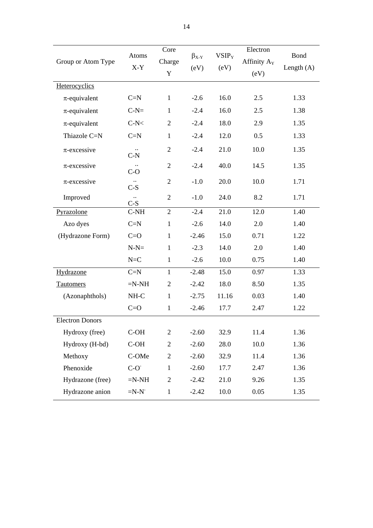| Group or Atom Type     | Atoms<br>$X-Y$                | Core<br>Charge<br>$\mathbf Y$ | $\beta_{X-Y}$<br>(eV) | VSIP <sub>Y</sub><br>(eV) | Electron<br>Affinity A <sub>Y</sub><br>(eV) | <b>Bond</b><br>Length $(A)$ |
|------------------------|-------------------------------|-------------------------------|-----------------------|---------------------------|---------------------------------------------|-----------------------------|
| Heterocyclics          |                               |                               |                       |                           |                                             |                             |
| $\pi$ -equivalent      | $C=N$                         | $\mathbf{1}$                  | $-2.6$                | 16.0                      | 2.5                                         | 1.33                        |
| $\pi$ -equivalent      | $C-N=$                        | $\mathbf{1}$                  | $-2.4$                | 16.0                      | 2.5                                         | 1.38                        |
| $\pi$ -equivalent      | $C-N<$                        | $\overline{2}$                | $-2.4$                | 18.0                      | 2.9                                         | 1.35                        |
| Thiazole C=N           | $C=N$                         | $\mathbf{1}$                  | $-2.4$                | 12.0                      | 0.5                                         | 1.33                        |
| $\pi$ -excessive       | $C-N$                         | $\overline{2}$                | $-2.4$                | 21.0                      | 10.0                                        | 1.35                        |
| $\pi$ -excessive       | $C-O$                         | $\overline{2}$                | $-2.4$                | 40.0                      | 14.5                                        | 1.35                        |
| $\pi$ -excessive       | $C-S$                         | $\overline{2}$                | $-1.0$                | 20.0                      | 10.0                                        | 1.71                        |
| Improved               | $\ddot{\phantom{a}}$<br>$C-S$ | $\mathfrak{2}$                | $-1.0$                | 24.0                      | 8.2                                         | 1.71                        |
| Pyrazolone             | $C-NH$                        | $\overline{2}$                | $-2.4$                | 21.0                      | 12.0                                        | 1.40                        |
| Azo dyes               | $C=N$                         | $\mathbf{1}$                  | $-2.6$                | 14.0                      | 2.0                                         | 1.40                        |
| (Hydrazone Form)       | $C = O$                       | $\mathbf{1}$                  | $-2.46$               | 15.0                      | 0.71                                        | 1.22                        |
|                        | $N-N=$                        | $\mathbf{1}$                  | $-2.3$                | 14.0                      | 2.0                                         | 1.40                        |
|                        | $N=C$                         | $\mathbf{1}$                  | $-2.6$                | 10.0                      | 0.75                                        | 1.40                        |
| Hydrazone              | $C=N$                         | $\mathbf{1}$                  | $-2.48$               | 15.0                      | 0.97                                        | 1.33                        |
| <b>Tautomers</b>       | $=N-NH$                       | $\mathbf{2}$                  | $-2.42$               | 18.0                      | 8.50                                        | 1.35                        |
| (Azonaphthols)         | $NH-C$                        | $\mathbf{1}$                  | $-2.75$               | 11.16                     | 0.03                                        | 1.40                        |
|                        | $C = O$                       | $\mathbf{1}$                  | $-2.46$               | 17.7                      | 2.47                                        | 1.22                        |
| <b>Electron Donors</b> |                               |                               |                       |                           |                                             |                             |
| Hydroxy (free)         | C-OH                          | $\overline{2}$                | $-2.60$               | 32.9                      | 11.4                                        | 1.36                        |
| Hydroxy (H-bd)         | C-OH                          | $\overline{2}$                | $-2.60$               | 28.0                      | 10.0                                        | 1.36                        |
| Methoxy                | C-OMe                         | $\mathbf{2}$                  | $-2.60$               | 32.9                      | 11.4                                        | 1.36                        |
| Phenoxide              | $C-O^{\dagger}$               | $\mathbf{1}$                  | $-2.60$               | 17.7                      | 2.47                                        | 1.36                        |
| Hydrazone (free)       | $=N-NH$                       | $\overline{2}$                | $-2.42$               | 21.0                      | 9.26                                        | 1.35                        |
| Hydrazone anion        | $=N-N$                        | $\mathbf{1}$                  | $-2.42$               | 10.0                      | 0.05                                        | 1.35                        |